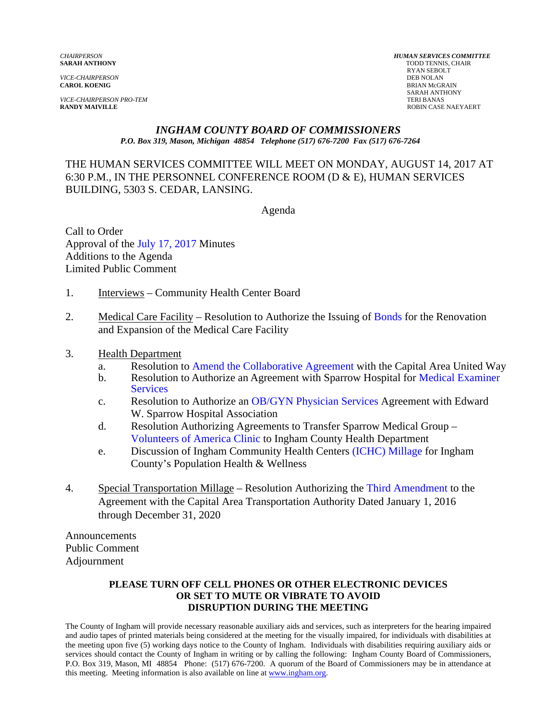*VICE-CHAIRPERSON PRO-TEM* TERI BANAS

*CHAIRPERSON HUMAN SERVICES COMMITTEE* **TODD TENNIS, CHAIR** RYAN SEBOLT<br>DEB NOLAN *VICE-CHAIRPERSON* DEB NOLAN **CAROL KOENIG** BRIAN McGRAIN SARAH ANTHONY ROBIN CASE NAEYAERT

#### *INGHAM COUNTY BOARD OF COMMISSIONERS P.O. Box 319, Mason, Michigan 48854 Telephone (517) 676-7200 Fax (517) 676-7264*

### THE HUMAN SERVICES COMMITTEE WILL MEET ON MONDAY, AUGUST 14, 2017 AT 6:30 P.M., IN THE PERSONNEL CONFERENCE ROOM (D & E), HUMAN SERVICES BUILDING, 5303 S. CEDAR, LANSING.

Agenda

Call to Order Approval [of the July 17, 2017 Minutes](#page-1-0)  Additions to the Agenda Limited Public Comment

- 1. Interviews Community Health Center Board
- 2. Medical Care Facility Resolution to Authorize the Issui[ng of Bonds for the Renova](#page-9-0)tion and Expansion of the Medical Care Facility
- 3. Health Department
	- a. Resolutio[n to Amend the Collaborative Agreement w](#page-34-0)ith the Capital Area United Way
	- b. Resolution to Authorize an [Agreement with Sparrow Hospital for Medical Examiner](#page-36-0) **Services**
	- c. Resolution to Authorize an [OB/GYN Physician Services Agreement](#page-42-0) with Edward W. Sparrow Hospital Association
	- d. Resolution Authorizing Agreements to Transfer Sparrow Medical Group [Volunteers of America Clinic](#page-44-0) to Ingham County Health Department
	- e. Discussion of Ingham Community Health Cent[ers \(ICHC\) Millage for Ingha](#page-48-0)m County's Population Health & Wellness
- 4. Special Transportation Millage Resolution Authorizi[ng the Third Amendment to the](#page-50-0) Agreement with the Capital Area Transportation Authority Dated January 1, 2016 through December 31, 2020

Announcements Public Comment Adjournment

#### **PLEASE TURN OFF CELL PHONES OR OTHER ELECTRONIC DEVICES OR SET TO MUTE OR VIBRATE TO AVOID DISRUPTION DURING THE MEETING**

The County of Ingham will provide necessary reasonable auxiliary aids and services, such as interpreters for the hearing impaired and audio tapes of printed materials being considered at the meeting for the visually impaired, for individuals with disabilities at the meeting upon five (5) working days notice to the County of Ingham. Individuals with disabilities requiring auxiliary aids or services should contact the County of Ingham in writing or by calling the following: Ingham County Board of Commissioners, P.O. Box 319, Mason, MI 48854 Phone: (517) 676-7200. A quorum of the Board of Commissioners may be in attendance at this meeting. Meeting information is also available on line at www.ingham.org.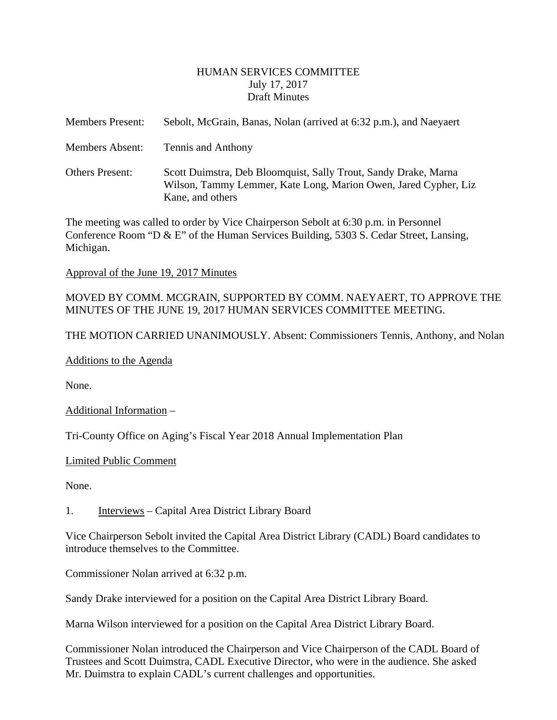#### HUMAN SERVICES COMMITTEE July 17, 2017 Draft Minutes

<span id="page-1-0"></span>

| <b>Members Present:</b> | Sebolt, McGrain, Banas, Nolan (arrived at 6:32 p.m.), and Naeyaert                                                                                     |
|-------------------------|--------------------------------------------------------------------------------------------------------------------------------------------------------|
| <b>Members Absent:</b>  | Tennis and Anthony                                                                                                                                     |
| <b>Others Present:</b>  | Scott Duimstra, Deb Bloomquist, Sally Trout, Sandy Drake, Marna<br>Wilson, Tammy Lemmer, Kate Long, Marion Owen, Jared Cypher, Liz<br>Kane, and others |

The meeting was called to order by Vice Chairperson Sebolt at 6:30 p.m. in Personnel Conference Room "D & E" of the Human Services Building, 5303 S. Cedar Street, Lansing, Michigan.

#### Approval of the June 19, 2017 Minutes

### MOVED BY COMM. MCGRAIN, SUPPORTED BY COMM. NAEYAERT, TO APPROVE THE MINUTES OF THE JUNE 19, 2017 HUMAN SERVICES COMMITTEE MEETING.

THE MOTION CARRIED UNANIMOUSLY. Absent: Commissioners Tennis, Anthony, and Nolan

Additions to the Agenda

None.

Additional Information –

Tri-County Office on Aging's Fiscal Year 2018 Annual Implementation Plan

#### Limited Public Comment

None.

#### 1. Interviews – Capital Area District Library Board

Vice Chairperson Sebolt invited the Capital Area District Library (CADL) Board candidates to introduce themselves to the Committee.

Commissioner Nolan arrived at 6:32 p.m.

Sandy Drake interviewed for a position on the Capital Area District Library Board.

Marna Wilson interviewed for a position on the Capital Area District Library Board.

Commissioner Nolan introduced the Chairperson and Vice Chairperson of the CADL Board of Trustees and Scott Duimstra, CADL Executive Director, who were in the audience. She asked Mr. Duimstra to explain CADL's current challenges and opportunities.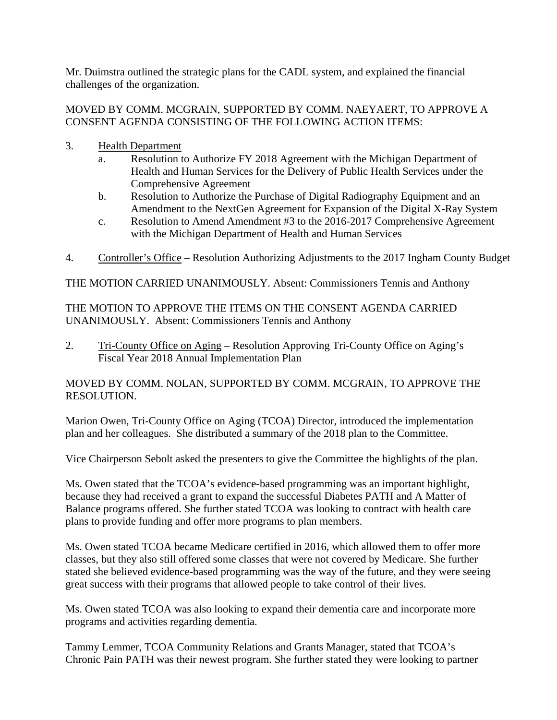Mr. Duimstra outlined the strategic plans for the CADL system, and explained the financial challenges of the organization.

### MOVED BY COMM. MCGRAIN, SUPPORTED BY COMM. NAEYAERT, TO APPROVE A CONSENT AGENDA CONSISTING OF THE FOLLOWING ACTION ITEMS:

- 3. Health Department
	- a. Resolution to Authorize FY 2018 Agreement with the Michigan Department of Health and Human Services for the Delivery of Public Health Services under the Comprehensive Agreement
	- b. Resolution to Authorize the Purchase of Digital Radiography Equipment and an Amendment to the NextGen Agreement for Expansion of the Digital X-Ray System
	- c. Resolution to Amend Amendment #3 to the 2016-2017 Comprehensive Agreement with the Michigan Department of Health and Human Services
- 4. Controller's Office Resolution Authorizing Adjustments to the 2017 Ingham County Budget

THE MOTION CARRIED UNANIMOUSLY. Absent: Commissioners Tennis and Anthony

THE MOTION TO APPROVE THE ITEMS ON THE CONSENT AGENDA CARRIED UNANIMOUSLY. Absent: Commissioners Tennis and Anthony

2. Tri-County Office on Aging – Resolution Approving Tri-County Office on Aging's Fiscal Year 2018 Annual Implementation Plan

### MOVED BY COMM. NOLAN, SUPPORTED BY COMM. MCGRAIN, TO APPROVE THE RESOLUTION.

Marion Owen, Tri-County Office on Aging (TCOA) Director, introduced the implementation plan and her colleagues. She distributed a summary of the 2018 plan to the Committee.

Vice Chairperson Sebolt asked the presenters to give the Committee the highlights of the plan.

Ms. Owen stated that the TCOA's evidence-based programming was an important highlight, because they had received a grant to expand the successful Diabetes PATH and A Matter of Balance programs offered. She further stated TCOA was looking to contract with health care plans to provide funding and offer more programs to plan members.

Ms. Owen stated TCOA became Medicare certified in 2016, which allowed them to offer more classes, but they also still offered some classes that were not covered by Medicare. She further stated she believed evidence-based programming was the way of the future, and they were seeing great success with their programs that allowed people to take control of their lives.

Ms. Owen stated TCOA was also looking to expand their dementia care and incorporate more programs and activities regarding dementia.

Tammy Lemmer, TCOA Community Relations and Grants Manager, stated that TCOA's Chronic Pain PATH was their newest program. She further stated they were looking to partner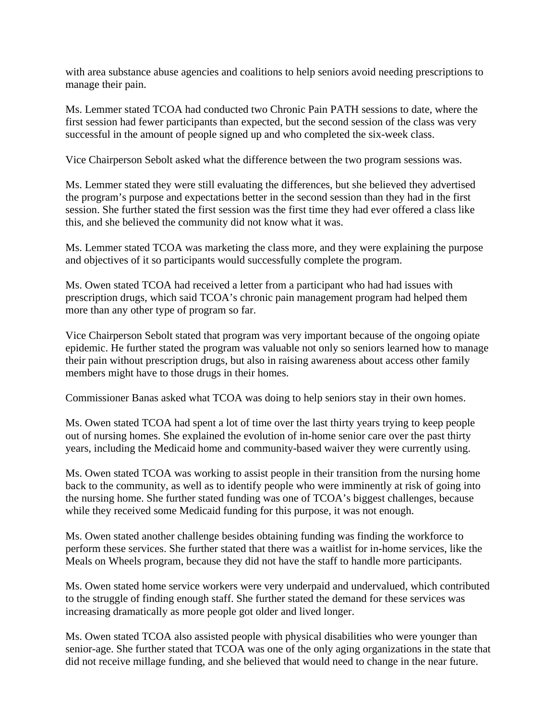with area substance abuse agencies and coalitions to help seniors avoid needing prescriptions to manage their pain.

Ms. Lemmer stated TCOA had conducted two Chronic Pain PATH sessions to date, where the first session had fewer participants than expected, but the second session of the class was very successful in the amount of people signed up and who completed the six-week class.

Vice Chairperson Sebolt asked what the difference between the two program sessions was.

Ms. Lemmer stated they were still evaluating the differences, but she believed they advertised the program's purpose and expectations better in the second session than they had in the first session. She further stated the first session was the first time they had ever offered a class like this, and she believed the community did not know what it was.

Ms. Lemmer stated TCOA was marketing the class more, and they were explaining the purpose and objectives of it so participants would successfully complete the program.

Ms. Owen stated TCOA had received a letter from a participant who had had issues with prescription drugs, which said TCOA's chronic pain management program had helped them more than any other type of program so far.

Vice Chairperson Sebolt stated that program was very important because of the ongoing opiate epidemic. He further stated the program was valuable not only so seniors learned how to manage their pain without prescription drugs, but also in raising awareness about access other family members might have to those drugs in their homes.

Commissioner Banas asked what TCOA was doing to help seniors stay in their own homes.

Ms. Owen stated TCOA had spent a lot of time over the last thirty years trying to keep people out of nursing homes. She explained the evolution of in-home senior care over the past thirty years, including the Medicaid home and community-based waiver they were currently using.

Ms. Owen stated TCOA was working to assist people in their transition from the nursing home back to the community, as well as to identify people who were imminently at risk of going into the nursing home. She further stated funding was one of TCOA's biggest challenges, because while they received some Medicaid funding for this purpose, it was not enough.

Ms. Owen stated another challenge besides obtaining funding was finding the workforce to perform these services. She further stated that there was a waitlist for in-home services, like the Meals on Wheels program, because they did not have the staff to handle more participants.

Ms. Owen stated home service workers were very underpaid and undervalued, which contributed to the struggle of finding enough staff. She further stated the demand for these services was increasing dramatically as more people got older and lived longer.

Ms. Owen stated TCOA also assisted people with physical disabilities who were younger than senior-age. She further stated that TCOA was one of the only aging organizations in the state that did not receive millage funding, and she believed that would need to change in the near future.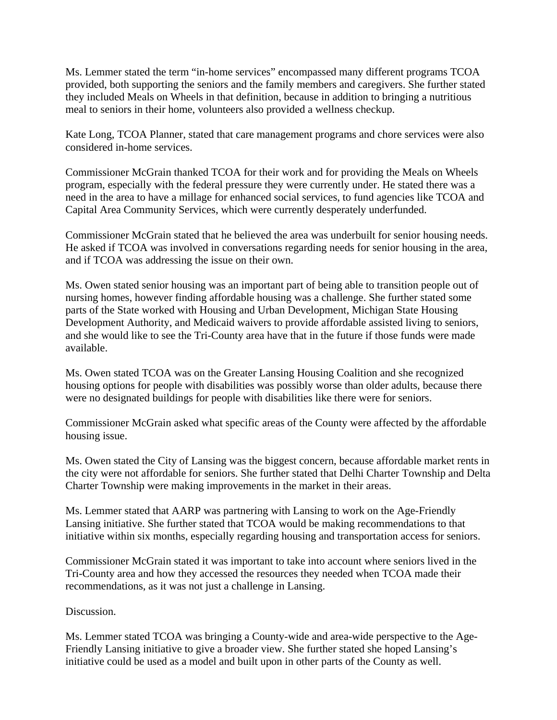Ms. Lemmer stated the term "in-home services" encompassed many different programs TCOA provided, both supporting the seniors and the family members and caregivers. She further stated they included Meals on Wheels in that definition, because in addition to bringing a nutritious meal to seniors in their home, volunteers also provided a wellness checkup.

Kate Long, TCOA Planner, stated that care management programs and chore services were also considered in-home services.

Commissioner McGrain thanked TCOA for their work and for providing the Meals on Wheels program, especially with the federal pressure they were currently under. He stated there was a need in the area to have a millage for enhanced social services, to fund agencies like TCOA and Capital Area Community Services, which were currently desperately underfunded.

Commissioner McGrain stated that he believed the area was underbuilt for senior housing needs. He asked if TCOA was involved in conversations regarding needs for senior housing in the area, and if TCOA was addressing the issue on their own.

Ms. Owen stated senior housing was an important part of being able to transition people out of nursing homes, however finding affordable housing was a challenge. She further stated some parts of the State worked with Housing and Urban Development, Michigan State Housing Development Authority, and Medicaid waivers to provide affordable assisted living to seniors, and she would like to see the Tri-County area have that in the future if those funds were made available.

Ms. Owen stated TCOA was on the Greater Lansing Housing Coalition and she recognized housing options for people with disabilities was possibly worse than older adults, because there were no designated buildings for people with disabilities like there were for seniors.

Commissioner McGrain asked what specific areas of the County were affected by the affordable housing issue.

Ms. Owen stated the City of Lansing was the biggest concern, because affordable market rents in the city were not affordable for seniors. She further stated that Delhi Charter Township and Delta Charter Township were making improvements in the market in their areas.

Ms. Lemmer stated that AARP was partnering with Lansing to work on the Age-Friendly Lansing initiative. She further stated that TCOA would be making recommendations to that initiative within six months, especially regarding housing and transportation access for seniors.

Commissioner McGrain stated it was important to take into account where seniors lived in the Tri-County area and how they accessed the resources they needed when TCOA made their recommendations, as it was not just a challenge in Lansing.

Discussion.

Ms. Lemmer stated TCOA was bringing a County-wide and area-wide perspective to the Age-Friendly Lansing initiative to give a broader view. She further stated she hoped Lansing's initiative could be used as a model and built upon in other parts of the County as well.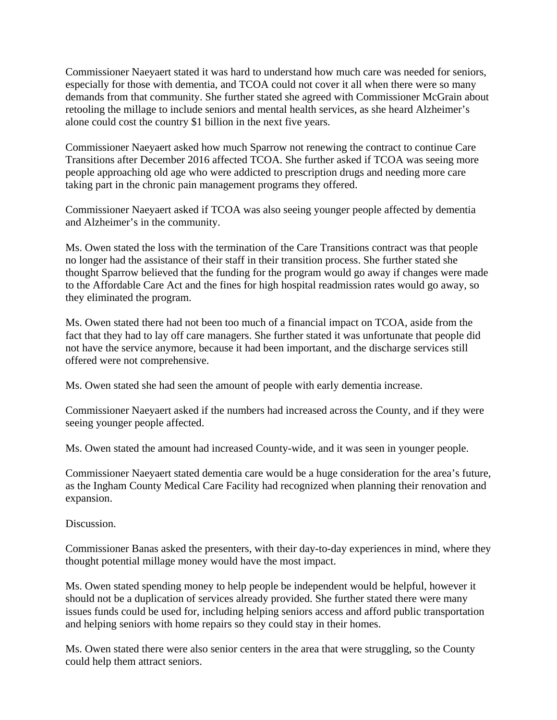Commissioner Naeyaert stated it was hard to understand how much care was needed for seniors, especially for those with dementia, and TCOA could not cover it all when there were so many demands from that community. She further stated she agreed with Commissioner McGrain about retooling the millage to include seniors and mental health services, as she heard Alzheimer's alone could cost the country \$1 billion in the next five years.

Commissioner Naeyaert asked how much Sparrow not renewing the contract to continue Care Transitions after December 2016 affected TCOA. She further asked if TCOA was seeing more people approaching old age who were addicted to prescription drugs and needing more care taking part in the chronic pain management programs they offered.

Commissioner Naeyaert asked if TCOA was also seeing younger people affected by dementia and Alzheimer's in the community.

Ms. Owen stated the loss with the termination of the Care Transitions contract was that people no longer had the assistance of their staff in their transition process. She further stated she thought Sparrow believed that the funding for the program would go away if changes were made to the Affordable Care Act and the fines for high hospital readmission rates would go away, so they eliminated the program.

Ms. Owen stated there had not been too much of a financial impact on TCOA, aside from the fact that they had to lay off care managers. She further stated it was unfortunate that people did not have the service anymore, because it had been important, and the discharge services still offered were not comprehensive.

Ms. Owen stated she had seen the amount of people with early dementia increase.

Commissioner Naeyaert asked if the numbers had increased across the County, and if they were seeing younger people affected.

Ms. Owen stated the amount had increased County-wide, and it was seen in younger people.

Commissioner Naeyaert stated dementia care would be a huge consideration for the area's future, as the Ingham County Medical Care Facility had recognized when planning their renovation and expansion.

Discussion.

Commissioner Banas asked the presenters, with their day-to-day experiences in mind, where they thought potential millage money would have the most impact.

Ms. Owen stated spending money to help people be independent would be helpful, however it should not be a duplication of services already provided. She further stated there were many issues funds could be used for, including helping seniors access and afford public transportation and helping seniors with home repairs so they could stay in their homes.

Ms. Owen stated there were also senior centers in the area that were struggling, so the County could help them attract seniors.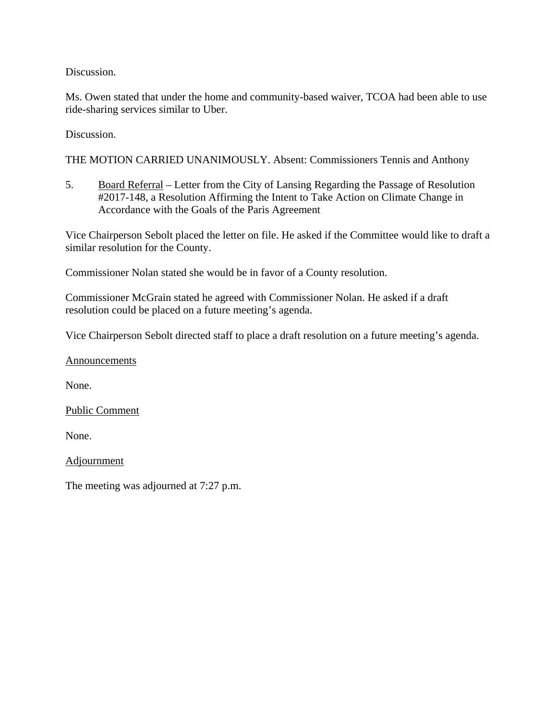Discussion.

Ms. Owen stated that under the home and community-based waiver, TCOA had been able to use ride-sharing services similar to Uber.

Discussion.

THE MOTION CARRIED UNANIMOUSLY. Absent: Commissioners Tennis and Anthony

5. Board Referral – Letter from the City of Lansing Regarding the Passage of Resolution #2017-148, a Resolution Affirming the Intent to Take Action on Climate Change in Accordance with the Goals of the Paris Agreement

Vice Chairperson Sebolt placed the letter on file. He asked if the Committee would like to draft a similar resolution for the County.

Commissioner Nolan stated she would be in favor of a County resolution.

Commissioner McGrain stated he agreed with Commissioner Nolan. He asked if a draft resolution could be placed on a future meeting's agenda.

Vice Chairperson Sebolt directed staff to place a draft resolution on a future meeting's agenda.

Announcements

None.

Public Comment

None.

**Adjournment** 

The meeting was adjourned at 7:27 p.m.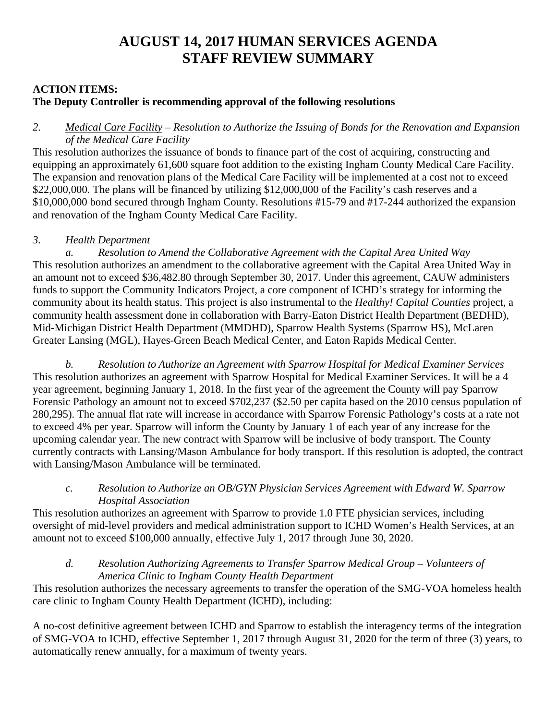# **AUGUST 14, 2017 HUMAN SERVICES AGENDA STAFF REVIEW SUMMARY**

### **ACTION ITEMS:**

## **The Deputy Controller is recommending approval of the following resolutions**

### *2. Medical Care Facility – Resolution to Authorize the Issuing of Bonds for the Renovation and Expansion of the Medical Care Facility*

This resolution authorizes the issuance of bonds to finance part of the cost of acquiring, constructing and equipping an approximately 61,600 square foot addition to the existing Ingham County Medical Care Facility. The expansion and renovation plans of the Medical Care Facility will be implemented at a cost not to exceed \$22,000,000. The plans will be financed by utilizing \$12,000,000 of the Facility's cash reserves and a \$10,000,000 bond secured through Ingham County. Resolutions #15-79 and #17-244 authorized the expansion and renovation of the Ingham County Medical Care Facility.

### *3. Health Department*

*a. Resolution to Amend the Collaborative Agreement with the Capital Area United Way*  This resolution authorizes an amendment to the collaborative agreement with the Capital Area United Way in an amount not to exceed \$36,482.80 through September 30, 2017. Under this agreement, CAUW administers funds to support the Community Indicators Project, a core component of ICHD's strategy for informing the community about its health status. This project is also instrumental to the *Healthy! Capital Counties* project, a community health assessment done in collaboration with Barry-Eaton District Health Department (BEDHD), Mid-Michigan District Health Department (MMDHD), Sparrow Health Systems (Sparrow HS), McLaren Greater Lansing (MGL), Hayes-Green Beach Medical Center, and Eaton Rapids Medical Center.

*b. Resolution to Authorize an Agreement with Sparrow Hospital for Medical Examiner Services*  This resolution authorizes an agreement with Sparrow Hospital for Medical Examiner Services. It will be a 4 year agreement, beginning January 1, 2018. In the first year of the agreement the County will pay Sparrow Forensic Pathology an amount not to exceed \$702,237 (\$2.50 per capita based on the 2010 census population of 280,295). The annual flat rate will increase in accordance with Sparrow Forensic Pathology's costs at a rate not to exceed 4% per year. Sparrow will inform the County by January 1 of each year of any increase for the upcoming calendar year. The new contract with Sparrow will be inclusive of body transport. The County currently contracts with Lansing/Mason Ambulance for body transport. If this resolution is adopted, the contract with Lansing/Mason Ambulance will be terminated.

### *c. Resolution to Authorize an OB/GYN Physician Services Agreement with Edward W. Sparrow Hospital Association*

This resolution authorizes an agreement with Sparrow to provide 1.0 FTE physician services, including oversight of mid-level providers and medical administration support to ICHD Women's Health Services, at an amount not to exceed \$100,000 annually, effective July 1, 2017 through June 30, 2020.

### *d. Resolution Authorizing Agreements to Transfer Sparrow Medical Group – Volunteers of America Clinic to Ingham County Health Department*

This resolution authorizes the necessary agreements to transfer the operation of the SMG-VOA homeless health care clinic to Ingham County Health Department (ICHD), including:

A no-cost definitive agreement between ICHD and Sparrow to establish the interagency terms of the integration of SMG-VOA to ICHD, effective September 1, 2017 through August 31, 2020 for the term of three (3) years, to automatically renew annually, for a maximum of twenty years.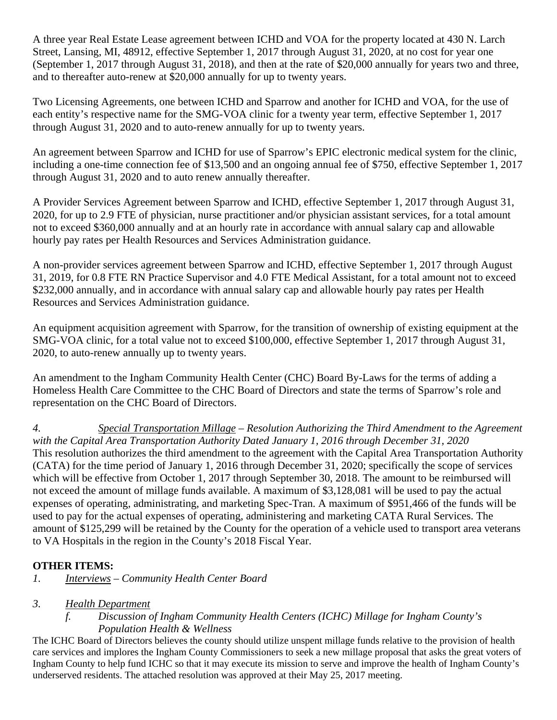A three year Real Estate Lease agreement between ICHD and VOA for the property located at 430 N. Larch Street, Lansing, MI, 48912, effective September 1, 2017 through August 31, 2020, at no cost for year one (September 1, 2017 through August 31, 2018), and then at the rate of \$20,000 annually for years two and three, and to thereafter auto-renew at \$20,000 annually for up to twenty years.

Two Licensing Agreements, one between ICHD and Sparrow and another for ICHD and VOA, for the use of each entity's respective name for the SMG-VOA clinic for a twenty year term, effective September 1, 2017 through August 31, 2020 and to auto-renew annually for up to twenty years.

An agreement between Sparrow and ICHD for use of Sparrow's EPIC electronic medical system for the clinic, including a one-time connection fee of \$13,500 and an ongoing annual fee of \$750, effective September 1, 2017 through August 31, 2020 and to auto renew annually thereafter.

A Provider Services Agreement between Sparrow and ICHD, effective September 1, 2017 through August 31, 2020, for up to 2.9 FTE of physician, nurse practitioner and/or physician assistant services, for a total amount not to exceed \$360,000 annually and at an hourly rate in accordance with annual salary cap and allowable hourly pay rates per Health Resources and Services Administration guidance.

A non-provider services agreement between Sparrow and ICHD, effective September 1, 2017 through August 31, 2019, for 0.8 FTE RN Practice Supervisor and 4.0 FTE Medical Assistant, for a total amount not to exceed \$232,000 annually, and in accordance with annual salary cap and allowable hourly pay rates per Health Resources and Services Administration guidance.

An equipment acquisition agreement with Sparrow, for the transition of ownership of existing equipment at the SMG-VOA clinic, for a total value not to exceed \$100,000, effective September 1, 2017 through August 31, 2020, to auto-renew annually up to twenty years.

An amendment to the Ingham Community Health Center (CHC) Board By-Laws for the terms of adding a Homeless Health Care Committee to the CHC Board of Directors and state the terms of Sparrow's role and representation on the CHC Board of Directors.

*4. Special Transportation Millage – Resolution Authorizing the Third Amendment to the Agreement with the Capital Area Transportation Authority Dated January 1, 2016 through December 31, 2020*  This resolution authorizes the third amendment to the agreement with the Capital Area Transportation Authority (CATA) for the time period of January 1, 2016 through December 31, 2020; specifically the scope of services which will be effective from October 1, 2017 through September 30, 2018. The amount to be reimbursed will not exceed the amount of millage funds available. A maximum of \$3,128,081 will be used to pay the actual expenses of operating, administrating, and marketing Spec-Tran. A maximum of \$951,466 of the funds will be used to pay for the actual expenses of operating, administering and marketing CATA Rural Services. The amount of \$125,299 will be retained by the County for the operation of a vehicle used to transport area veterans to VA Hospitals in the region in the County's 2018 Fiscal Year.

# **OTHER ITEMS:**

*1. Interviews – Community Health Center Board* 

### *3. Health Department*

### *f. Discussion of Ingham Community Health Centers (ICHC) Millage for Ingham County's Population Health & Wellness*

The ICHC Board of Directors believes the county should utilize unspent millage funds relative to the provision of health care services and implores the Ingham County Commissioners to seek a new millage proposal that asks the great voters of Ingham County to help fund ICHC so that it may execute its mission to serve and improve the health of Ingham County's underserved residents. The attached resolution was approved at their May 25, 2017 meeting.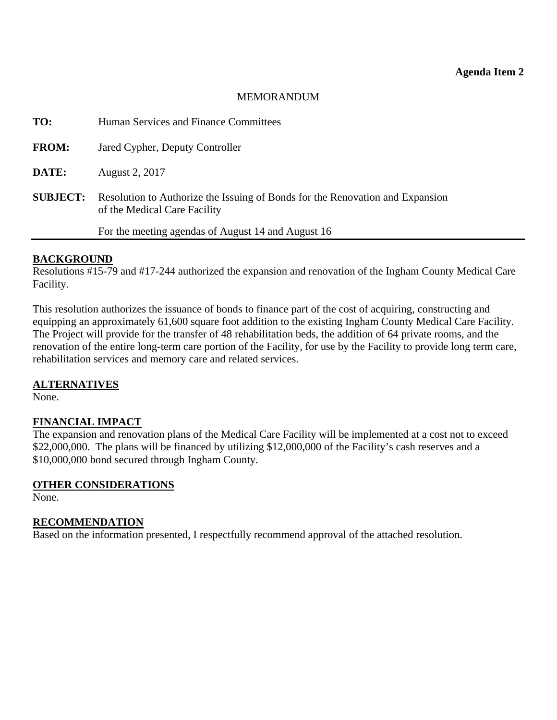### MEMORANDUM

<span id="page-9-0"></span>

| TO:             | Human Services and Finance Committees                                                                         |
|-----------------|---------------------------------------------------------------------------------------------------------------|
| <b>FROM:</b>    | Jared Cypher, Deputy Controller                                                                               |
| DATE:           | August 2, 2017                                                                                                |
| <b>SUBJECT:</b> | Resolution to Authorize the Issuing of Bonds for the Renovation and Expansion<br>of the Medical Care Facility |
|                 | For the meeting agendas of August 14 and August 16                                                            |

#### **BACKGROUND**

Resolutions #15-79 and #17-244 authorized the expansion and renovation of the Ingham County Medical Care Facility.

This resolution authorizes the issuance of bonds to finance part of the cost of acquiring, constructing and equipping an approximately 61,600 square foot addition to the existing Ingham County Medical Care Facility. The Project will provide for the transfer of 48 rehabilitation beds, the addition of 64 private rooms, and the renovation of the entire long-term care portion of the Facility, for use by the Facility to provide long term care, rehabilitation services and memory care and related services.

#### **ALTERNATIVES**

None.

### **FINANCIAL IMPACT**

The expansion and renovation plans of the Medical Care Facility will be implemented at a cost not to exceed \$22,000,000. The plans will be financed by utilizing \$12,000,000 of the Facility's cash reserves and a \$10,000,000 bond secured through Ingham County.

### **OTHER CONSIDERATIONS**

None.

#### **RECOMMENDATION**

Based on the information presented, I respectfully recommend approval of the attached resolution.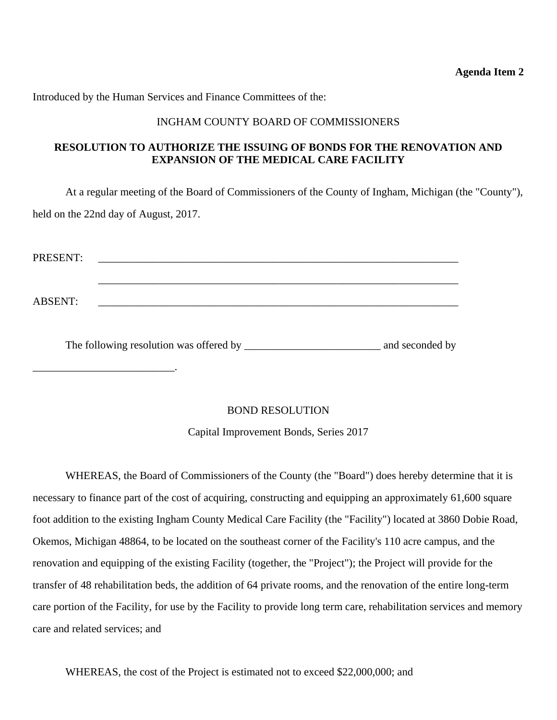**Agenda Item 2** 

Introduced by the Human Services and Finance Committees of the:

\_\_\_\_\_\_\_\_\_\_\_\_\_\_\_\_\_\_\_\_\_\_\_\_\_\_.

#### INGHAM COUNTY BOARD OF COMMISSIONERS

### **RESOLUTION TO AUTHORIZE THE ISSUING OF BONDS FOR THE RENOVATION AND EXPANSION OF THE MEDICAL CARE FACILITY**

At a regular meeting of the Board of Commissioners of the County of Ingham, Michigan (the "County"), held on the 22nd day of August, 2017.

| PRESENT:       |  |  |
|----------------|--|--|
|                |  |  |
| <b>ABSENT:</b> |  |  |
|                |  |  |

The following resolution was offered by \_\_\_\_\_\_\_\_\_\_\_\_\_\_\_\_\_\_\_\_\_\_\_\_\_ and seconded by

### BOND RESOLUTION

Capital Improvement Bonds, Series 2017

 WHEREAS, the Board of Commissioners of the County (the "Board") does hereby determine that it is necessary to finance part of the cost of acquiring, constructing and equipping an approximately 61,600 square foot addition to the existing Ingham County Medical Care Facility (the "Facility") located at 3860 Dobie Road, Okemos, Michigan 48864, to be located on the southeast corner of the Facility's 110 acre campus, and the renovation and equipping of the existing Facility (together, the "Project"); the Project will provide for the transfer of 48 rehabilitation beds, the addition of 64 private rooms, and the renovation of the entire long-term care portion of the Facility, for use by the Facility to provide long term care, rehabilitation services and memory care and related services; and

WHEREAS, the cost of the Project is estimated not to exceed \$22,000,000; and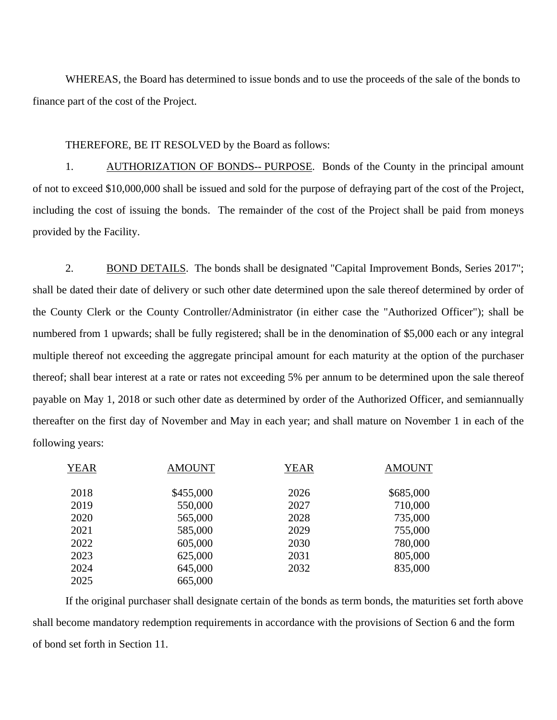WHEREAS, the Board has determined to issue bonds and to use the proceeds of the sale of the bonds to finance part of the cost of the Project.

THEREFORE, BE IT RESOLVED by the Board as follows:

1. AUTHORIZATION OF BONDS-- PURPOSE. Bonds of the County in the principal amount of not to exceed \$10,000,000 shall be issued and sold for the purpose of defraying part of the cost of the Project, including the cost of issuing the bonds. The remainder of the cost of the Project shall be paid from moneys provided by the Facility.

2. BOND DETAILS. The bonds shall be designated "Capital Improvement Bonds, Series 2017"; shall be dated their date of delivery or such other date determined upon the sale thereof determined by order of the County Clerk or the County Controller/Administrator (in either case the "Authorized Officer"); shall be numbered from 1 upwards; shall be fully registered; shall be in the denomination of \$5,000 each or any integral multiple thereof not exceeding the aggregate principal amount for each maturity at the option of the purchaser thereof; shall bear interest at a rate or rates not exceeding 5% per annum to be determined upon the sale thereof payable on May 1, 2018 or such other date as determined by order of the Authorized Officer, and semiannually thereafter on the first day of November and May in each year; and shall mature on November 1 in each of the following years:

| <b>YEAR</b> | <b>AMOUNT</b> | <b>YEAR</b> | <b>AMOUNT</b> |
|-------------|---------------|-------------|---------------|
| 2018        | \$455,000     | 2026        | \$685,000     |
| 2019        | 550,000       | 2027        | 710,000       |
| 2020        | 565,000       | 2028        | 735,000       |
| 2021        | 585,000       | 2029        | 755,000       |
| 2022        | 605,000       | 2030        | 780,000       |
| 2023        | 625,000       | 2031        | 805,000       |
| 2024        | 645,000       | 2032        | 835,000       |
| 2025        | 665,000       |             |               |

If the original purchaser shall designate certain of the bonds as term bonds, the maturities set forth above shall become mandatory redemption requirements in accordance with the provisions of Section 6 and the form of bond set forth in Section 11.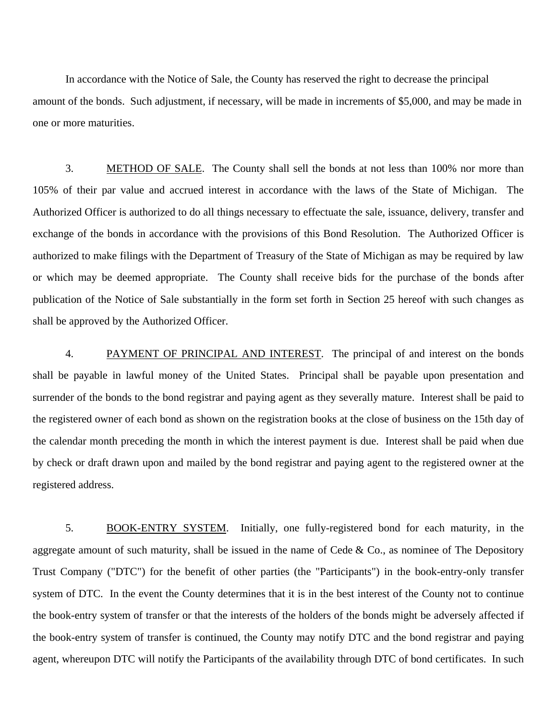In accordance with the Notice of Sale, the County has reserved the right to decrease the principal amount of the bonds. Such adjustment, if necessary, will be made in increments of \$5,000, and may be made in one or more maturities.

3. METHOD OF SALE. The County shall sell the bonds at not less than 100% nor more than 105% of their par value and accrued interest in accordance with the laws of the State of Michigan. The Authorized Officer is authorized to do all things necessary to effectuate the sale, issuance, delivery, transfer and exchange of the bonds in accordance with the provisions of this Bond Resolution. The Authorized Officer is authorized to make filings with the Department of Treasury of the State of Michigan as may be required by law or which may be deemed appropriate. The County shall receive bids for the purchase of the bonds after publication of the Notice of Sale substantially in the form set forth in Section 25 hereof with such changes as shall be approved by the Authorized Officer.

4. PAYMENT OF PRINCIPAL AND INTEREST. The principal of and interest on the bonds shall be payable in lawful money of the United States. Principal shall be payable upon presentation and surrender of the bonds to the bond registrar and paying agent as they severally mature. Interest shall be paid to the registered owner of each bond as shown on the registration books at the close of business on the 15th day of the calendar month preceding the month in which the interest payment is due. Interest shall be paid when due by check or draft drawn upon and mailed by the bond registrar and paying agent to the registered owner at the registered address.

5. BOOK-ENTRY SYSTEM. Initially, one fully-registered bond for each maturity, in the aggregate amount of such maturity, shall be issued in the name of Cede  $\&$  Co., as nominee of The Depository Trust Company ("DTC") for the benefit of other parties (the "Participants") in the book-entry-only transfer system of DTC. In the event the County determines that it is in the best interest of the County not to continue the book-entry system of transfer or that the interests of the holders of the bonds might be adversely affected if the book-entry system of transfer is continued, the County may notify DTC and the bond registrar and paying agent, whereupon DTC will notify the Participants of the availability through DTC of bond certificates. In such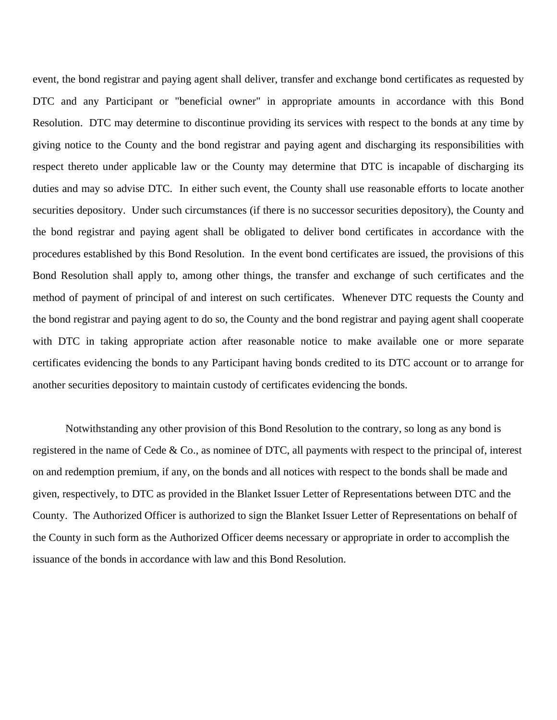event, the bond registrar and paying agent shall deliver, transfer and exchange bond certificates as requested by DTC and any Participant or "beneficial owner" in appropriate amounts in accordance with this Bond Resolution. DTC may determine to discontinue providing its services with respect to the bonds at any time by giving notice to the County and the bond registrar and paying agent and discharging its responsibilities with respect thereto under applicable law or the County may determine that DTC is incapable of discharging its duties and may so advise DTC. In either such event, the County shall use reasonable efforts to locate another securities depository. Under such circumstances (if there is no successor securities depository), the County and the bond registrar and paying agent shall be obligated to deliver bond certificates in accordance with the procedures established by this Bond Resolution. In the event bond certificates are issued, the provisions of this Bond Resolution shall apply to, among other things, the transfer and exchange of such certificates and the method of payment of principal of and interest on such certificates. Whenever DTC requests the County and the bond registrar and paying agent to do so, the County and the bond registrar and paying agent shall cooperate with DTC in taking appropriate action after reasonable notice to make available one or more separate certificates evidencing the bonds to any Participant having bonds credited to its DTC account or to arrange for another securities depository to maintain custody of certificates evidencing the bonds.

Notwithstanding any other provision of this Bond Resolution to the contrary, so long as any bond is registered in the name of Cede & Co., as nominee of DTC, all payments with respect to the principal of, interest on and redemption premium, if any, on the bonds and all notices with respect to the bonds shall be made and given, respectively, to DTC as provided in the Blanket Issuer Letter of Representations between DTC and the County. The Authorized Officer is authorized to sign the Blanket Issuer Letter of Representations on behalf of the County in such form as the Authorized Officer deems necessary or appropriate in order to accomplish the issuance of the bonds in accordance with law and this Bond Resolution.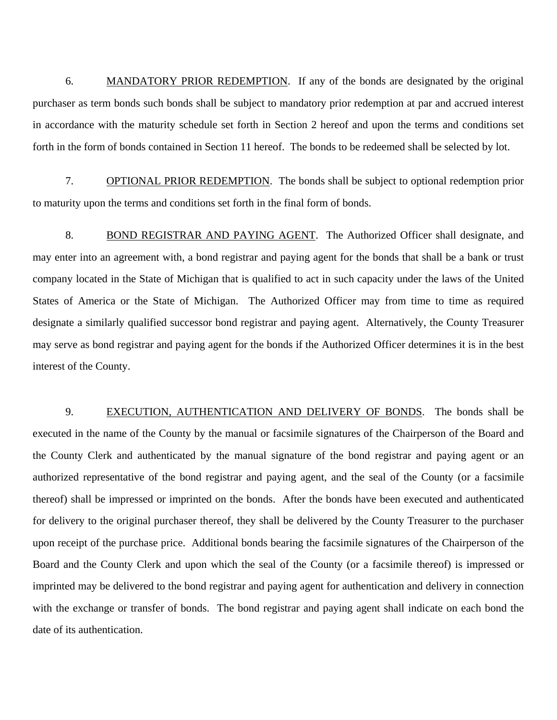6. MANDATORY PRIOR REDEMPTION. If any of the bonds are designated by the original purchaser as term bonds such bonds shall be subject to mandatory prior redemption at par and accrued interest in accordance with the maturity schedule set forth in Section 2 hereof and upon the terms and conditions set forth in the form of bonds contained in Section 11 hereof. The bonds to be redeemed shall be selected by lot.

7. OPTIONAL PRIOR REDEMPTION. The bonds shall be subject to optional redemption prior to maturity upon the terms and conditions set forth in the final form of bonds.

8. BOND REGISTRAR AND PAYING AGENT. The Authorized Officer shall designate, and may enter into an agreement with, a bond registrar and paying agent for the bonds that shall be a bank or trust company located in the State of Michigan that is qualified to act in such capacity under the laws of the United States of America or the State of Michigan. The Authorized Officer may from time to time as required designate a similarly qualified successor bond registrar and paying agent. Alternatively, the County Treasurer may serve as bond registrar and paying agent for the bonds if the Authorized Officer determines it is in the best interest of the County.

9. EXECUTION, AUTHENTICATION AND DELIVERY OF BONDS. The bonds shall be executed in the name of the County by the manual or facsimile signatures of the Chairperson of the Board and the County Clerk and authenticated by the manual signature of the bond registrar and paying agent or an authorized representative of the bond registrar and paying agent, and the seal of the County (or a facsimile thereof) shall be impressed or imprinted on the bonds. After the bonds have been executed and authenticated for delivery to the original purchaser thereof, they shall be delivered by the County Treasurer to the purchaser upon receipt of the purchase price. Additional bonds bearing the facsimile signatures of the Chairperson of the Board and the County Clerk and upon which the seal of the County (or a facsimile thereof) is impressed or imprinted may be delivered to the bond registrar and paying agent for authentication and delivery in connection with the exchange or transfer of bonds. The bond registrar and paying agent shall indicate on each bond the date of its authentication.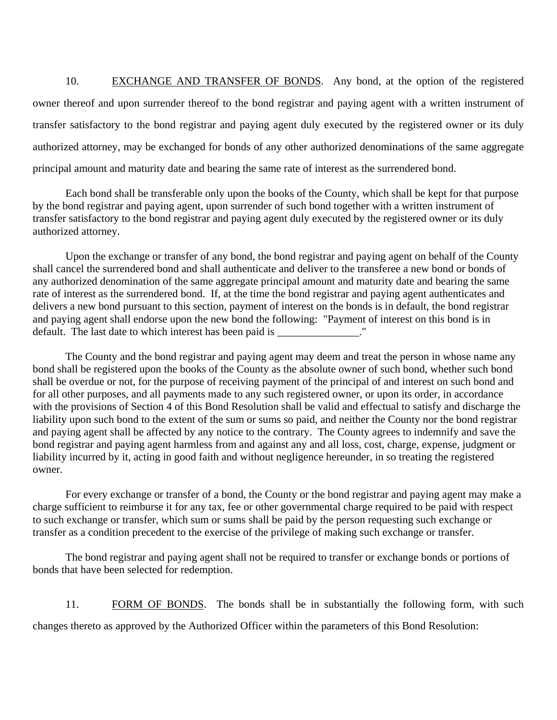10. EXCHANGE AND TRANSFER OF BONDS. Any bond, at the option of the registered owner thereof and upon surrender thereof to the bond registrar and paying agent with a written instrument of transfer satisfactory to the bond registrar and paying agent duly executed by the registered owner or its duly authorized attorney, may be exchanged for bonds of any other authorized denominations of the same aggregate principal amount and maturity date and bearing the same rate of interest as the surrendered bond.

 Each bond shall be transferable only upon the books of the County, which shall be kept for that purpose by the bond registrar and paying agent, upon surrender of such bond together with a written instrument of transfer satisfactory to the bond registrar and paying agent duly executed by the registered owner or its duly authorized attorney.

 Upon the exchange or transfer of any bond, the bond registrar and paying agent on behalf of the County shall cancel the surrendered bond and shall authenticate and deliver to the transferee a new bond or bonds of any authorized denomination of the same aggregate principal amount and maturity date and bearing the same rate of interest as the surrendered bond. If, at the time the bond registrar and paying agent authenticates and delivers a new bond pursuant to this section, payment of interest on the bonds is in default, the bond registrar and paying agent shall endorse upon the new bond the following: "Payment of interest on this bond is in default. The last date to which interest has been paid is \_\_\_\_\_\_\_\_\_\_\_\_\_\_\_."

 The County and the bond registrar and paying agent may deem and treat the person in whose name any bond shall be registered upon the books of the County as the absolute owner of such bond, whether such bond shall be overdue or not, for the purpose of receiving payment of the principal of and interest on such bond and for all other purposes, and all payments made to any such registered owner, or upon its order, in accordance with the provisions of Section 4 of this Bond Resolution shall be valid and effectual to satisfy and discharge the liability upon such bond to the extent of the sum or sums so paid, and neither the County nor the bond registrar and paying agent shall be affected by any notice to the contrary. The County agrees to indemnify and save the bond registrar and paying agent harmless from and against any and all loss, cost, charge, expense, judgment or liability incurred by it, acting in good faith and without negligence hereunder, in so treating the registered owner.

 For every exchange or transfer of a bond, the County or the bond registrar and paying agent may make a charge sufficient to reimburse it for any tax, fee or other governmental charge required to be paid with respect to such exchange or transfer, which sum or sums shall be paid by the person requesting such exchange or transfer as a condition precedent to the exercise of the privilege of making such exchange or transfer.

 The bond registrar and paying agent shall not be required to transfer or exchange bonds or portions of bonds that have been selected for redemption.

11. FORM OF BONDS. The bonds shall be in substantially the following form, with such changes thereto as approved by the Authorized Officer within the parameters of this Bond Resolution: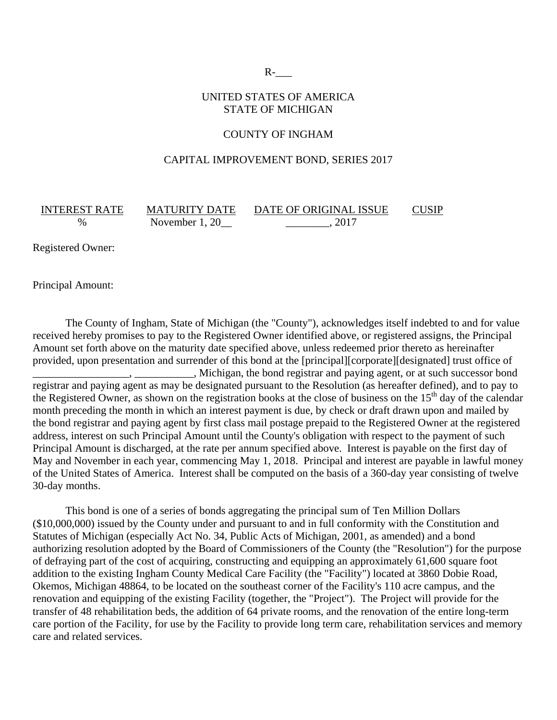$R$ - $\qquad$ 

#### UNITED STATES OF AMERICA STATE OF MICHIGAN

#### COUNTY OF INGHAM

#### CAPITAL IMPROVEMENT BOND, SERIES 2017

% November 1, 20\_\_\_\_\_\_\_\_\_\_\_\_\_\_\_\_\_\_\_\_\_, 2017

INTEREST RATE MATURITY DATE DATE OF ORIGINAL ISSUE CUSIP

Registered Owner:

Principal Amount:

 The County of Ingham, State of Michigan (the "County"), acknowledges itself indebted to and for value received hereby promises to pay to the Registered Owner identified above, or registered assigns, the Principal Amount set forth above on the maturity date specified above, unless redeemed prior thereto as hereinafter provided, upon presentation and surrender of this bond at the [principal][corporate][designated] trust office of \_\_\_\_\_\_\_\_\_\_\_\_\_\_\_\_\_\_, \_\_\_\_\_\_\_\_\_\_\_, Michigan, the bond registrar and paying agent, or at such successor bond registrar and paying agent as may be designated pursuant to the Resolution (as hereafter defined), and to pay to the Registered Owner, as shown on the registration books at the close of business on the  $15<sup>th</sup>$  day of the calendar month preceding the month in which an interest payment is due, by check or draft drawn upon and mailed by the bond registrar and paying agent by first class mail postage prepaid to the Registered Owner at the registered address, interest on such Principal Amount until the County's obligation with respect to the payment of such Principal Amount is discharged, at the rate per annum specified above. Interest is payable on the first day of May and November in each year, commencing May 1, 2018. Principal and interest are payable in lawful money of the United States of America. Interest shall be computed on the basis of a 360-day year consisting of twelve 30-day months.

 This bond is one of a series of bonds aggregating the principal sum of Ten Million Dollars (\$10,000,000) issued by the County under and pursuant to and in full conformity with the Constitution and Statutes of Michigan (especially Act No. 34, Public Acts of Michigan, 2001, as amended) and a bond authorizing resolution adopted by the Board of Commissioners of the County (the "Resolution") for the purpose of defraying part of the cost of acquiring, constructing and equipping an approximately 61,600 square foot addition to the existing Ingham County Medical Care Facility (the "Facility") located at 3860 Dobie Road, Okemos, Michigan 48864, to be located on the southeast corner of the Facility's 110 acre campus, and the renovation and equipping of the existing Facility (together, the "Project"). The Project will provide for the transfer of 48 rehabilitation beds, the addition of 64 private rooms, and the renovation of the entire long-term care portion of the Facility, for use by the Facility to provide long term care, rehabilitation services and memory care and related services.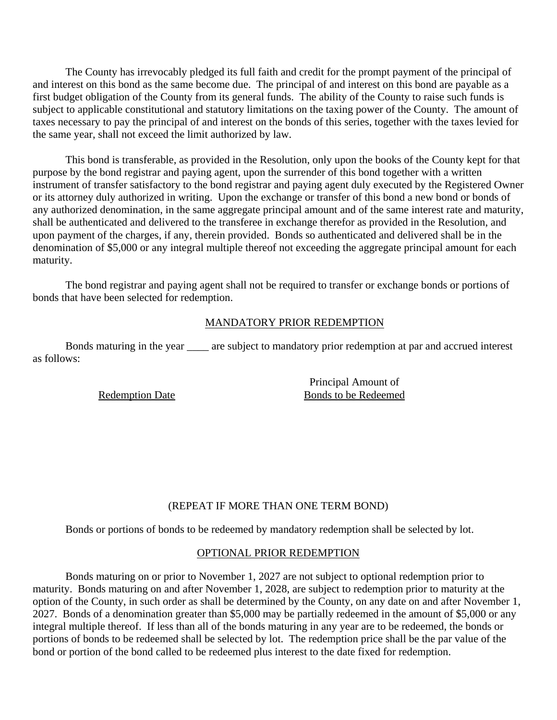The County has irrevocably pledged its full faith and credit for the prompt payment of the principal of and interest on this bond as the same become due. The principal of and interest on this bond are payable as a first budget obligation of the County from its general funds. The ability of the County to raise such funds is subject to applicable constitutional and statutory limitations on the taxing power of the County. The amount of taxes necessary to pay the principal of and interest on the bonds of this series, together with the taxes levied for the same year, shall not exceed the limit authorized by law.

 This bond is transferable, as provided in the Resolution, only upon the books of the County kept for that purpose by the bond registrar and paying agent, upon the surrender of this bond together with a written instrument of transfer satisfactory to the bond registrar and paying agent duly executed by the Registered Owner or its attorney duly authorized in writing. Upon the exchange or transfer of this bond a new bond or bonds of any authorized denomination, in the same aggregate principal amount and of the same interest rate and maturity, shall be authenticated and delivered to the transferee in exchange therefor as provided in the Resolution, and upon payment of the charges, if any, therein provided. Bonds so authenticated and delivered shall be in the denomination of \$5,000 or any integral multiple thereof not exceeding the aggregate principal amount for each maturity.

 The bond registrar and paying agent shall not be required to transfer or exchange bonds or portions of bonds that have been selected for redemption.

#### MANDATORY PRIOR REDEMPTION

Bonds maturing in the year \_\_\_\_ are subject to mandatory prior redemption at par and accrued interest as follows:

Redemption Date

Principal Amount of Bonds to be Redeemed

#### (REPEAT IF MORE THAN ONE TERM BOND)

Bonds or portions of bonds to be redeemed by mandatory redemption shall be selected by lot.

#### OPTIONAL PRIOR REDEMPTION

Bonds maturing on or prior to November 1, 2027 are not subject to optional redemption prior to maturity. Bonds maturing on and after November 1, 2028, are subject to redemption prior to maturity at the option of the County, in such order as shall be determined by the County, on any date on and after November 1, 2027. Bonds of a denomination greater than \$5,000 may be partially redeemed in the amount of \$5,000 or any integral multiple thereof. If less than all of the bonds maturing in any year are to be redeemed, the bonds or portions of bonds to be redeemed shall be selected by lot. The redemption price shall be the par value of the bond or portion of the bond called to be redeemed plus interest to the date fixed for redemption.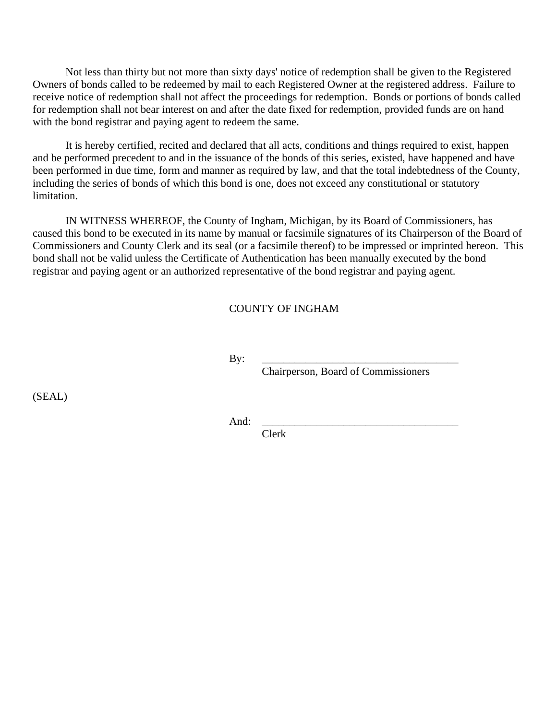Not less than thirty but not more than sixty days' notice of redemption shall be given to the Registered Owners of bonds called to be redeemed by mail to each Registered Owner at the registered address. Failure to receive notice of redemption shall not affect the proceedings for redemption. Bonds or portions of bonds called for redemption shall not bear interest on and after the date fixed for redemption, provided funds are on hand with the bond registrar and paying agent to redeem the same.

 It is hereby certified, recited and declared that all acts, conditions and things required to exist, happen and be performed precedent to and in the issuance of the bonds of this series, existed, have happened and have been performed in due time, form and manner as required by law, and that the total indebtedness of the County, including the series of bonds of which this bond is one, does not exceed any constitutional or statutory limitation.

 IN WITNESS WHEREOF, the County of Ingham, Michigan, by its Board of Commissioners, has caused this bond to be executed in its name by manual or facsimile signatures of its Chairperson of the Board of Commissioners and County Clerk and its seal (or a facsimile thereof) to be impressed or imprinted hereon. This bond shall not be valid unless the Certificate of Authentication has been manually executed by the bond registrar and paying agent or an authorized representative of the bond registrar and paying agent.

#### COUNTY OF INGHAM

By: \_\_\_\_\_\_\_\_\_\_\_\_\_\_\_\_\_\_\_\_\_\_\_\_\_\_\_\_\_\_\_\_\_\_\_\_

Chairperson, Board of Commissioners

(SEAL)

And: \_\_\_\_\_\_\_\_\_\_\_\_\_\_\_\_\_\_\_\_\_\_\_\_\_\_\_\_\_\_\_\_\_\_\_\_

Clerk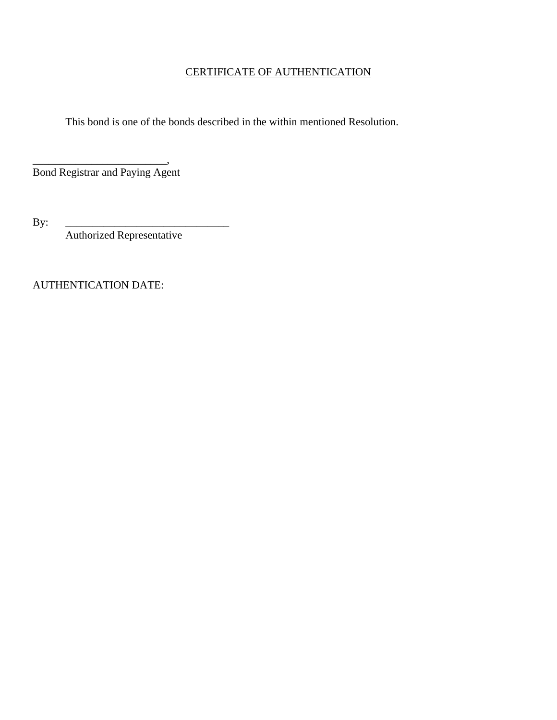## CERTIFICATE OF AUTHENTICATION

This bond is one of the bonds described in the within mentioned Resolution.

\_\_\_\_\_\_\_\_\_\_\_\_\_\_\_\_\_\_\_\_\_\_\_\_\_, Bond Registrar and Paying Agent

By: \_\_\_\_\_\_\_\_\_\_\_\_\_\_\_\_\_\_\_\_\_\_\_\_\_\_\_\_\_\_

Authorized Representative

AUTHENTICATION DATE: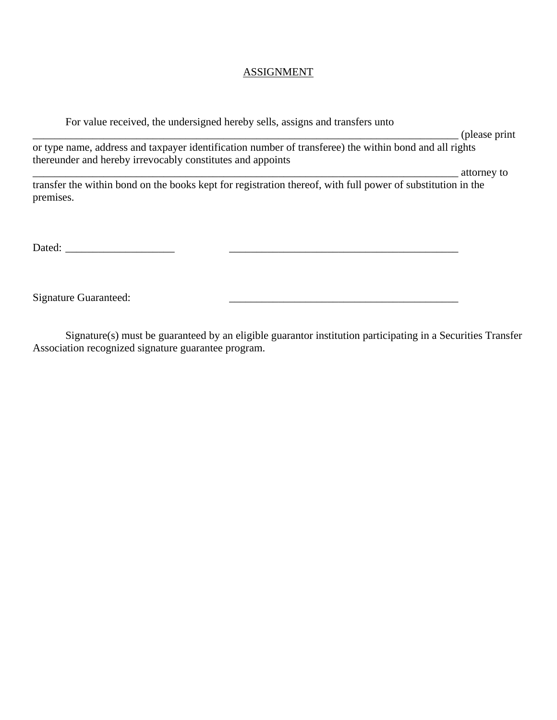#### ASSIGNMENT

 For value received, the undersigned hereby sells, assigns and transfers unto \_\_\_\_\_\_\_\_\_\_\_\_\_\_\_\_\_\_\_\_\_\_\_\_\_\_\_\_\_\_\_\_\_\_\_\_\_\_\_\_\_\_\_\_\_\_\_\_\_\_\_\_\_\_\_\_\_\_\_\_\_\_\_\_\_\_\_\_\_\_\_\_\_\_\_\_\_\_ (please print or type name, address and taxpayer identification number of transferee) the within bond and all rights thereunder and hereby irrevocably constitutes and appoints  $\blacksquare$ transfer the within bond on the books kept for registration thereof, with full power of substitution in the premises. Dated: \_\_\_\_\_\_\_\_\_\_\_\_\_\_\_\_\_\_\_\_ \_\_\_\_\_\_\_\_\_\_\_\_\_\_\_\_\_\_\_\_\_\_\_\_\_\_\_\_\_\_\_\_\_\_\_\_\_\_\_\_\_\_

Signature Guaranteed:  $\qquad \qquad \qquad$ 

 Signature(s) must be guaranteed by an eligible guarantor institution participating in a Securities Transfer Association recognized signature guarantee program.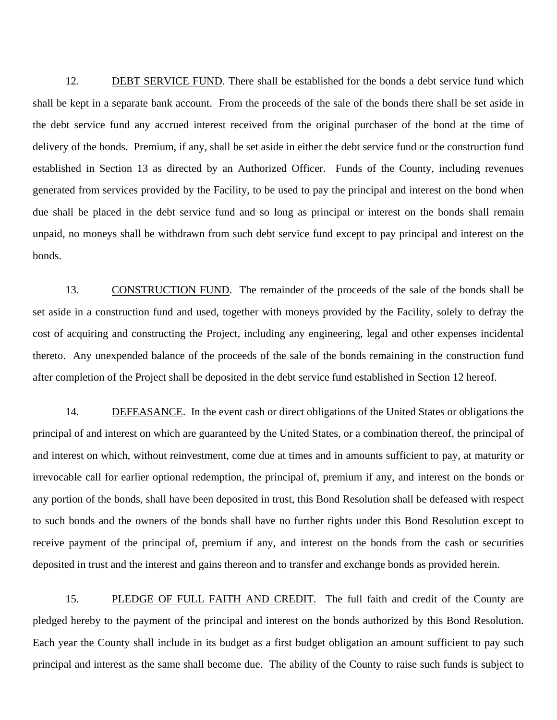12. DEBT SERVICE FUND. There shall be established for the bonds a debt service fund which shall be kept in a separate bank account. From the proceeds of the sale of the bonds there shall be set aside in the debt service fund any accrued interest received from the original purchaser of the bond at the time of delivery of the bonds. Premium, if any, shall be set aside in either the debt service fund or the construction fund established in Section 13 as directed by an Authorized Officer. Funds of the County, including revenues generated from services provided by the Facility, to be used to pay the principal and interest on the bond when due shall be placed in the debt service fund and so long as principal or interest on the bonds shall remain unpaid, no moneys shall be withdrawn from such debt service fund except to pay principal and interest on the bonds.

13. CONSTRUCTION FUND. The remainder of the proceeds of the sale of the bonds shall be set aside in a construction fund and used, together with moneys provided by the Facility, solely to defray the cost of acquiring and constructing the Project, including any engineering, legal and other expenses incidental thereto. Any unexpended balance of the proceeds of the sale of the bonds remaining in the construction fund after completion of the Project shall be deposited in the debt service fund established in Section 12 hereof.

14. DEFEASANCE. In the event cash or direct obligations of the United States or obligations the principal of and interest on which are guaranteed by the United States, or a combination thereof, the principal of and interest on which, without reinvestment, come due at times and in amounts sufficient to pay, at maturity or irrevocable call for earlier optional redemption, the principal of, premium if any, and interest on the bonds or any portion of the bonds, shall have been deposited in trust, this Bond Resolution shall be defeased with respect to such bonds and the owners of the bonds shall have no further rights under this Bond Resolution except to receive payment of the principal of, premium if any, and interest on the bonds from the cash or securities deposited in trust and the interest and gains thereon and to transfer and exchange bonds as provided herein.

15. PLEDGE OF FULL FAITH AND CREDIT. The full faith and credit of the County are pledged hereby to the payment of the principal and interest on the bonds authorized by this Bond Resolution. Each year the County shall include in its budget as a first budget obligation an amount sufficient to pay such principal and interest as the same shall become due. The ability of the County to raise such funds is subject to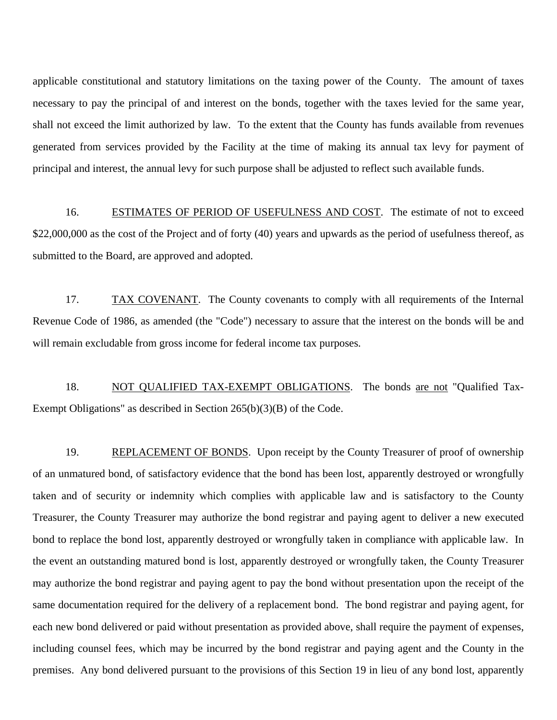applicable constitutional and statutory limitations on the taxing power of the County. The amount of taxes necessary to pay the principal of and interest on the bonds, together with the taxes levied for the same year, shall not exceed the limit authorized by law. To the extent that the County has funds available from revenues generated from services provided by the Facility at the time of making its annual tax levy for payment of principal and interest, the annual levy for such purpose shall be adjusted to reflect such available funds.

16. ESTIMATES OF PERIOD OF USEFULNESS AND COST. The estimate of not to exceed \$22,000,000 as the cost of the Project and of forty (40) years and upwards as the period of usefulness thereof, as submitted to the Board, are approved and adopted.

17. TAX COVENANT. The County covenants to comply with all requirements of the Internal Revenue Code of 1986, as amended (the "Code") necessary to assure that the interest on the bonds will be and will remain excludable from gross income for federal income tax purposes.

18. NOT QUALIFIED TAX-EXEMPT OBLIGATIONS. The bonds are not "Qualified Tax-Exempt Obligations" as described in Section 265(b)(3)(B) of the Code.

19. REPLACEMENT OF BONDS. Upon receipt by the County Treasurer of proof of ownership of an unmatured bond, of satisfactory evidence that the bond has been lost, apparently destroyed or wrongfully taken and of security or indemnity which complies with applicable law and is satisfactory to the County Treasurer, the County Treasurer may authorize the bond registrar and paying agent to deliver a new executed bond to replace the bond lost, apparently destroyed or wrongfully taken in compliance with applicable law. In the event an outstanding matured bond is lost, apparently destroyed or wrongfully taken, the County Treasurer may authorize the bond registrar and paying agent to pay the bond without presentation upon the receipt of the same documentation required for the delivery of a replacement bond. The bond registrar and paying agent, for each new bond delivered or paid without presentation as provided above, shall require the payment of expenses, including counsel fees, which may be incurred by the bond registrar and paying agent and the County in the premises. Any bond delivered pursuant to the provisions of this Section 19 in lieu of any bond lost, apparently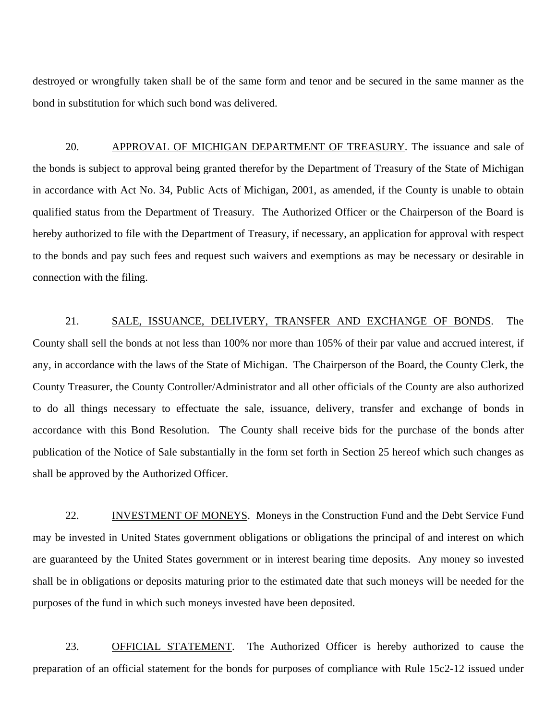destroyed or wrongfully taken shall be of the same form and tenor and be secured in the same manner as the bond in substitution for which such bond was delivered.

20. APPROVAL OF MICHIGAN DEPARTMENT OF TREASURY. The issuance and sale of the bonds is subject to approval being granted therefor by the Department of Treasury of the State of Michigan in accordance with Act No. 34, Public Acts of Michigan, 2001, as amended, if the County is unable to obtain qualified status from the Department of Treasury. The Authorized Officer or the Chairperson of the Board is hereby authorized to file with the Department of Treasury, if necessary, an application for approval with respect to the bonds and pay such fees and request such waivers and exemptions as may be necessary or desirable in connection with the filing.

21. SALE, ISSUANCE, DELIVERY, TRANSFER AND EXCHANGE OF BONDS. The County shall sell the bonds at not less than 100% nor more than 105% of their par value and accrued interest, if any, in accordance with the laws of the State of Michigan. The Chairperson of the Board, the County Clerk, the County Treasurer, the County Controller/Administrator and all other officials of the County are also authorized to do all things necessary to effectuate the sale, issuance, delivery, transfer and exchange of bonds in accordance with this Bond Resolution. The County shall receive bids for the purchase of the bonds after publication of the Notice of Sale substantially in the form set forth in Section 25 hereof which such changes as shall be approved by the Authorized Officer.

22. INVESTMENT OF MONEYS. Moneys in the Construction Fund and the Debt Service Fund may be invested in United States government obligations or obligations the principal of and interest on which are guaranteed by the United States government or in interest bearing time deposits. Any money so invested shall be in obligations or deposits maturing prior to the estimated date that such moneys will be needed for the purposes of the fund in which such moneys invested have been deposited.

23. OFFICIAL STATEMENT. The Authorized Officer is hereby authorized to cause the preparation of an official statement for the bonds for purposes of compliance with Rule 15c2-12 issued under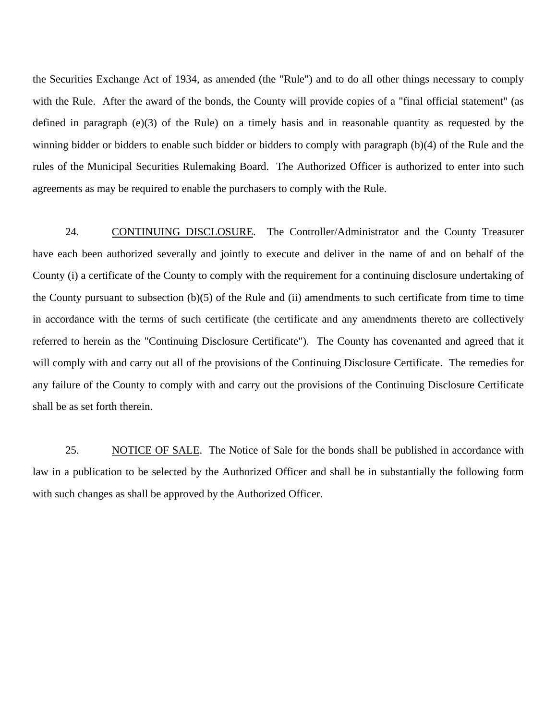the Securities Exchange Act of 1934, as amended (the "Rule") and to do all other things necessary to comply with the Rule. After the award of the bonds, the County will provide copies of a "final official statement" (as defined in paragraph (e)(3) of the Rule) on a timely basis and in reasonable quantity as requested by the winning bidder or bidders to enable such bidder or bidders to comply with paragraph (b)(4) of the Rule and the rules of the Municipal Securities Rulemaking Board. The Authorized Officer is authorized to enter into such agreements as may be required to enable the purchasers to comply with the Rule.

24. CONTINUING DISCLOSURE. The Controller/Administrator and the County Treasurer have each been authorized severally and jointly to execute and deliver in the name of and on behalf of the County (i) a certificate of the County to comply with the requirement for a continuing disclosure undertaking of the County pursuant to subsection (b)(5) of the Rule and (ii) amendments to such certificate from time to time in accordance with the terms of such certificate (the certificate and any amendments thereto are collectively referred to herein as the "Continuing Disclosure Certificate"). The County has covenanted and agreed that it will comply with and carry out all of the provisions of the Continuing Disclosure Certificate. The remedies for any failure of the County to comply with and carry out the provisions of the Continuing Disclosure Certificate shall be as set forth therein.

25. NOTICE OF SALE. The Notice of Sale for the bonds shall be published in accordance with law in a publication to be selected by the Authorized Officer and shall be in substantially the following form with such changes as shall be approved by the Authorized Officer.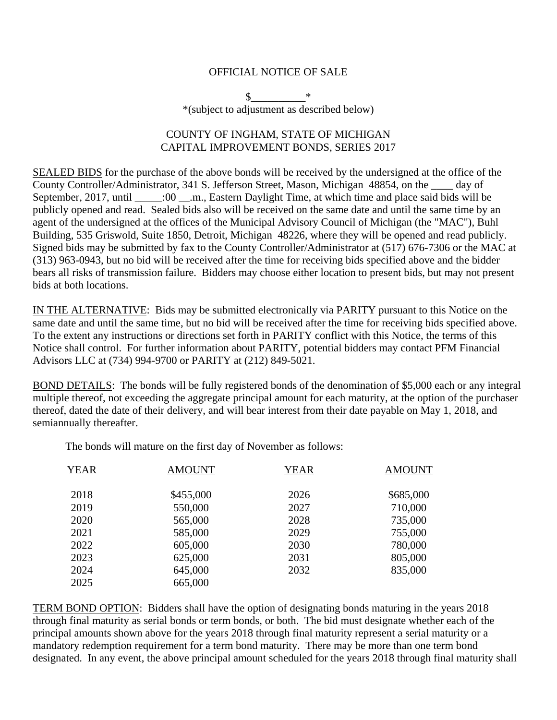#### OFFICIAL NOTICE OF SALE

 $\frac{\text{S}}{\text{S}}$  \* \*(subject to adjustment as described below)

### COUNTY OF INGHAM, STATE OF MICHIGAN CAPITAL IMPROVEMENT BONDS, SERIES 2017

SEALED BIDS for the purchase of the above bonds will be received by the undersigned at the office of the County Controller/Administrator, 341 S. Jefferson Street, Mason, Michigan 48854, on the \_\_\_\_ day of September, 2017, until \_\_\_\_\_:00 \_\_.m., Eastern Daylight Time, at which time and place said bids will be publicly opened and read. Sealed bids also will be received on the same date and until the same time by an agent of the undersigned at the offices of the Municipal Advisory Council of Michigan (the "MAC"), Buhl Building, 535 Griswold, Suite 1850, Detroit, Michigan 48226, where they will be opened and read publicly. Signed bids may be submitted by fax to the County Controller/Administrator at (517) 676-7306 or the MAC at (313) 963-0943, but no bid will be received after the time for receiving bids specified above and the bidder bears all risks of transmission failure. Bidders may choose either location to present bids, but may not present bids at both locations.

IN THE ALTERNATIVE: Bids may be submitted electronically via PARITY pursuant to this Notice on the same date and until the same time, but no bid will be received after the time for receiving bids specified above. To the extent any instructions or directions set forth in PARITY conflict with this Notice, the terms of this Notice shall control. For further information about PARITY, potential bidders may contact PFM Financial Advisors LLC at (734) 994-9700 or PARITY at (212) 849-5021.

BOND DETAILS: The bonds will be fully registered bonds of the denomination of \$5,000 each or any integral multiple thereof, not exceeding the aggregate principal amount for each maturity, at the option of the purchaser thereof, dated the date of their delivery, and will bear interest from their date payable on May 1, 2018, and semiannually thereafter.

The bonds will mature on the first day of November as follows:

| <b>YEAR</b> | <b>AMOUNT</b> | <b>YEAR</b> | <b>AMOUNT</b> |
|-------------|---------------|-------------|---------------|
| 2018        | \$455,000     | 2026        | \$685,000     |
| 2019        | 550,000       | 2027        | 710,000       |
| 2020        | 565,000       | 2028        | 735,000       |
| 2021        | 585,000       | 2029        | 755,000       |
| 2022        | 605,000       | 2030        | 780,000       |
| 2023        | 625,000       | 2031        | 805,000       |
| 2024        | 645,000       | 2032        | 835,000       |
| 2025        | 665,000       |             |               |

TERM BOND OPTION: Bidders shall have the option of designating bonds maturing in the years 2018 through final maturity as serial bonds or term bonds, or both. The bid must designate whether each of the principal amounts shown above for the years 2018 through final maturity represent a serial maturity or a mandatory redemption requirement for a term bond maturity. There may be more than one term bond designated. In any event, the above principal amount scheduled for the years 2018 through final maturity shall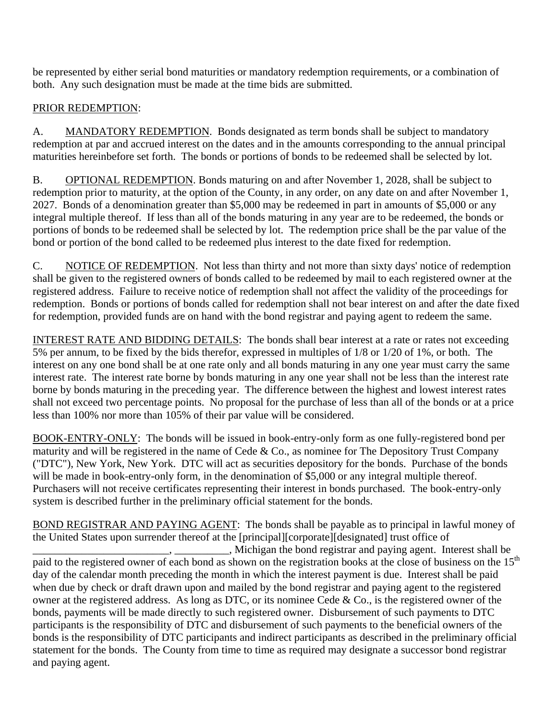be represented by either serial bond maturities or mandatory redemption requirements, or a combination of both. Any such designation must be made at the time bids are submitted.

# PRIOR REDEMPTION:

A. MANDATORY REDEMPTION. Bonds designated as term bonds shall be subject to mandatory redemption at par and accrued interest on the dates and in the amounts corresponding to the annual principal maturities hereinbefore set forth. The bonds or portions of bonds to be redeemed shall be selected by lot.

B. OPTIONAL REDEMPTION. Bonds maturing on and after November 1, 2028, shall be subject to redemption prior to maturity, at the option of the County, in any order, on any date on and after November 1, 2027. Bonds of a denomination greater than \$5,000 may be redeemed in part in amounts of \$5,000 or any integral multiple thereof. If less than all of the bonds maturing in any year are to be redeemed, the bonds or portions of bonds to be redeemed shall be selected by lot. The redemption price shall be the par value of the bond or portion of the bond called to be redeemed plus interest to the date fixed for redemption.

C. NOTICE OF REDEMPTION. Not less than thirty and not more than sixty days' notice of redemption shall be given to the registered owners of bonds called to be redeemed by mail to each registered owner at the registered address. Failure to receive notice of redemption shall not affect the validity of the proceedings for redemption. Bonds or portions of bonds called for redemption shall not bear interest on and after the date fixed for redemption, provided funds are on hand with the bond registrar and paying agent to redeem the same.

INTEREST RATE AND BIDDING DETAILS: The bonds shall bear interest at a rate or rates not exceeding 5% per annum, to be fixed by the bids therefor, expressed in multiples of 1/8 or 1/20 of 1%, or both. The interest on any one bond shall be at one rate only and all bonds maturing in any one year must carry the same interest rate. The interest rate borne by bonds maturing in any one year shall not be less than the interest rate borne by bonds maturing in the preceding year. The difference between the highest and lowest interest rates shall not exceed two percentage points. No proposal for the purchase of less than all of the bonds or at a price less than 100% nor more than 105% of their par value will be considered.

BOOK-ENTRY-ONLY: The bonds will be issued in book-entry-only form as one fully-registered bond per maturity and will be registered in the name of Cede & Co., as nominee for The Depository Trust Company ("DTC"), New York, New York. DTC will act as securities depository for the bonds. Purchase of the bonds will be made in book-entry-only form, in the denomination of \$5,000 or any integral multiple thereof. Purchasers will not receive certificates representing their interest in bonds purchased. The book-entry-only system is described further in the preliminary official statement for the bonds.

BOND REGISTRAR AND PAYING AGENT: The bonds shall be payable as to principal in lawful money of the United States upon surrender thereof at the [principal][corporate][designated] trust office of

\_\_\_\_\_\_\_\_\_\_\_\_\_\_\_\_\_\_\_\_\_\_\_\_\_, \_\_\_\_\_\_\_\_\_\_, Michigan the bond registrar and paying agent. Interest shall be paid to the registered owner of each bond as shown on the registration books at the close of business on the  $15<sup>th</sup>$ day of the calendar month preceding the month in which the interest payment is due. Interest shall be paid when due by check or draft drawn upon and mailed by the bond registrar and paying agent to the registered owner at the registered address. As long as DTC, or its nominee Cede & Co., is the registered owner of the bonds, payments will be made directly to such registered owner. Disbursement of such payments to DTC participants is the responsibility of DTC and disbursement of such payments to the beneficial owners of the bonds is the responsibility of DTC participants and indirect participants as described in the preliminary official statement for the bonds. The County from time to time as required may designate a successor bond registrar and paying agent.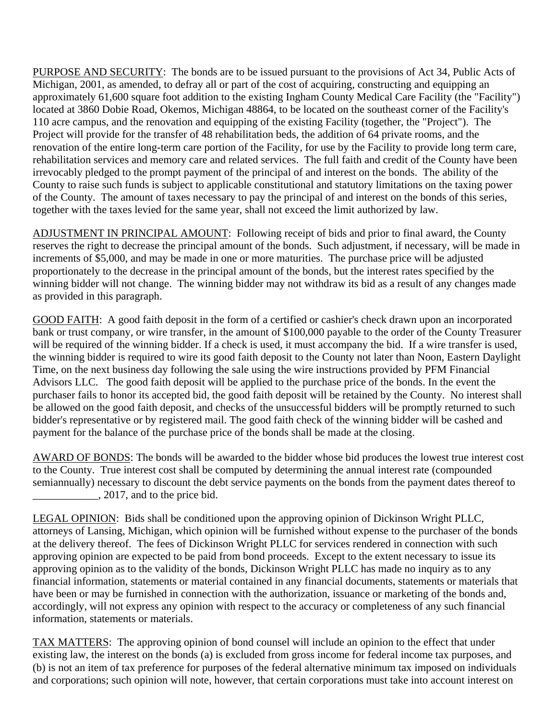PURPOSE AND SECURITY: The bonds are to be issued pursuant to the provisions of Act 34, Public Acts of Michigan, 2001, as amended, to defray all or part of the cost of acquiring, constructing and equipping an approximately 61,600 square foot addition to the existing Ingham County Medical Care Facility (the "Facility") located at 3860 Dobie Road, Okemos, Michigan 48864, to be located on the southeast corner of the Facility's 110 acre campus, and the renovation and equipping of the existing Facility (together, the "Project"). The Project will provide for the transfer of 48 rehabilitation beds, the addition of 64 private rooms, and the renovation of the entire long-term care portion of the Facility, for use by the Facility to provide long term care, rehabilitation services and memory care and related services. The full faith and credit of the County have been irrevocably pledged to the prompt payment of the principal of and interest on the bonds. The ability of the County to raise such funds is subject to applicable constitutional and statutory limitations on the taxing power of the County. The amount of taxes necessary to pay the principal of and interest on the bonds of this series, together with the taxes levied for the same year, shall not exceed the limit authorized by law.

ADJUSTMENT IN PRINCIPAL AMOUNT: Following receipt of bids and prior to final award, the County reserves the right to decrease the principal amount of the bonds. Such adjustment, if necessary, will be made in increments of \$5,000, and may be made in one or more maturities. The purchase price will be adjusted proportionately to the decrease in the principal amount of the bonds, but the interest rates specified by the winning bidder will not change. The winning bidder may not withdraw its bid as a result of any changes made as provided in this paragraph.

GOOD FAITH: A good faith deposit in the form of a certified or cashier's check drawn upon an incorporated bank or trust company, or wire transfer, in the amount of \$100,000 payable to the order of the County Treasurer will be required of the winning bidder. If a check is used, it must accompany the bid. If a wire transfer is used, the winning bidder is required to wire its good faith deposit to the County not later than Noon, Eastern Daylight Time, on the next business day following the sale using the wire instructions provided by PFM Financial Advisors LLC. The good faith deposit will be applied to the purchase price of the bonds. In the event the purchaser fails to honor its accepted bid, the good faith deposit will be retained by the County. No interest shall be allowed on the good faith deposit, and checks of the unsuccessful bidders will be promptly returned to such bidder's representative or by registered mail. The good faith check of the winning bidder will be cashed and payment for the balance of the purchase price of the bonds shall be made at the closing.

AWARD OF BONDS: The bonds will be awarded to the bidder whose bid produces the lowest true interest cost to the County. True interest cost shall be computed by determining the annual interest rate (compounded semiannually) necessary to discount the debt service payments on the bonds from the payment dates thereof to  $\frac{1}{2017}$ , and to the price bid.

LEGAL OPINION: Bids shall be conditioned upon the approving opinion of Dickinson Wright PLLC, attorneys of Lansing, Michigan, which opinion will be furnished without expense to the purchaser of the bonds at the delivery thereof. The fees of Dickinson Wright PLLC for services rendered in connection with such approving opinion are expected to be paid from bond proceeds. Except to the extent necessary to issue its approving opinion as to the validity of the bonds, Dickinson Wright PLLC has made no inquiry as to any financial information, statements or material contained in any financial documents, statements or materials that have been or may be furnished in connection with the authorization, issuance or marketing of the bonds and, accordingly, will not express any opinion with respect to the accuracy or completeness of any such financial information, statements or materials.

TAX MATTERS: The approving opinion of bond counsel will include an opinion to the effect that under existing law, the interest on the bonds (a) is excluded from gross income for federal income tax purposes, and (b) is not an item of tax preference for purposes of the federal alternative minimum tax imposed on individuals and corporations; such opinion will note, however, that certain corporations must take into account interest on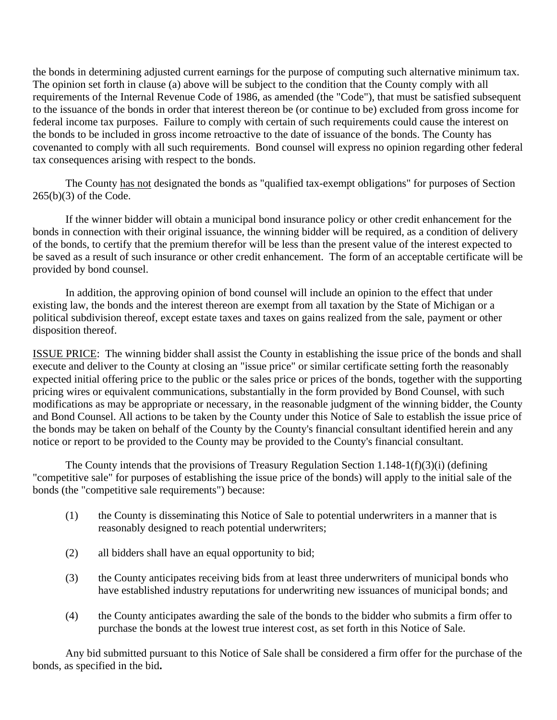the bonds in determining adjusted current earnings for the purpose of computing such alternative minimum tax. The opinion set forth in clause (a) above will be subject to the condition that the County comply with all requirements of the Internal Revenue Code of 1986, as amended (the "Code"), that must be satisfied subsequent to the issuance of the bonds in order that interest thereon be (or continue to be) excluded from gross income for federal income tax purposes. Failure to comply with certain of such requirements could cause the interest on the bonds to be included in gross income retroactive to the date of issuance of the bonds. The County has covenanted to comply with all such requirements. Bond counsel will express no opinion regarding other federal tax consequences arising with respect to the bonds.

The County has not designated the bonds as "qualified tax-exempt obligations" for purposes of Section 265(b)(3) of the Code.

If the winner bidder will obtain a municipal bond insurance policy or other credit enhancement for the bonds in connection with their original issuance, the winning bidder will be required, as a condition of delivery of the bonds, to certify that the premium therefor will be less than the present value of the interest expected to be saved as a result of such insurance or other credit enhancement. The form of an acceptable certificate will be provided by bond counsel.

In addition, the approving opinion of bond counsel will include an opinion to the effect that under existing law, the bonds and the interest thereon are exempt from all taxation by the State of Michigan or a political subdivision thereof, except estate taxes and taxes on gains realized from the sale, payment or other disposition thereof.

ISSUE PRICE: The winning bidder shall assist the County in establishing the issue price of the bonds and shall execute and deliver to the County at closing an "issue price" or similar certificate setting forth the reasonably expected initial offering price to the public or the sales price or prices of the bonds, together with the supporting pricing wires or equivalent communications, substantially in the form provided by Bond Counsel, with such modifications as may be appropriate or necessary, in the reasonable judgment of the winning bidder, the County and Bond Counsel. All actions to be taken by the County under this Notice of Sale to establish the issue price of the bonds may be taken on behalf of the County by the County's financial consultant identified herein and any notice or report to be provided to the County may be provided to the County's financial consultant.

 The County intends that the provisions of Treasury Regulation Section 1.148-1(f)(3)(i) (defining "competitive sale" for purposes of establishing the issue price of the bonds) will apply to the initial sale of the bonds (the "competitive sale requirements") because:

- (1) the County is disseminating this Notice of Sale to potential underwriters in a manner that is reasonably designed to reach potential underwriters;
- (2) all bidders shall have an equal opportunity to bid;
- (3) the County anticipates receiving bids from at least three underwriters of municipal bonds who have established industry reputations for underwriting new issuances of municipal bonds; and
- (4) the County anticipates awarding the sale of the bonds to the bidder who submits a firm offer to purchase the bonds at the lowest true interest cost, as set forth in this Notice of Sale.

 Any bid submitted pursuant to this Notice of Sale shall be considered a firm offer for the purchase of the bonds, as specified in the bid**.**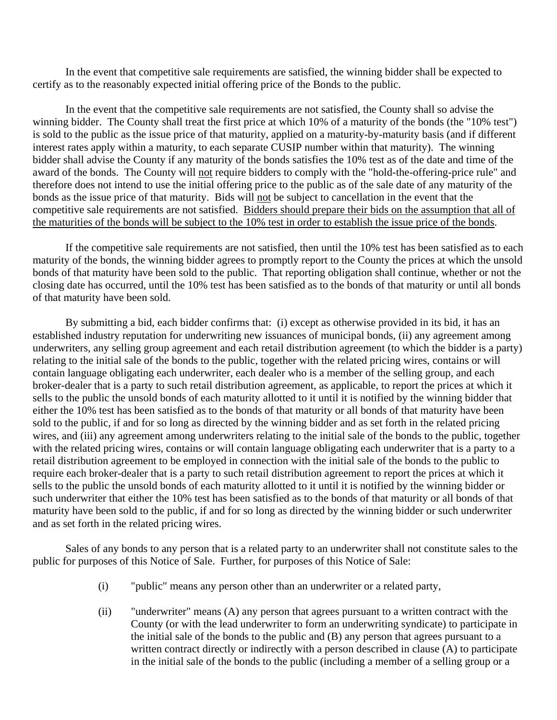In the event that competitive sale requirements are satisfied, the winning bidder shall be expected to certify as to the reasonably expected initial offering price of the Bonds to the public.

 In the event that the competitive sale requirements are not satisfied, the County shall so advise the winning bidder. The County shall treat the first price at which 10% of a maturity of the bonds (the "10% test") is sold to the public as the issue price of that maturity, applied on a maturity-by-maturity basis (and if different interest rates apply within a maturity, to each separate CUSIP number within that maturity). The winning bidder shall advise the County if any maturity of the bonds satisfies the 10% test as of the date and time of the award of the bonds. The County will not require bidders to comply with the "hold-the-offering-price rule" and therefore does not intend to use the initial offering price to the public as of the sale date of any maturity of the bonds as the issue price of that maturity. Bids will not be subject to cancellation in the event that the competitive sale requirements are not satisfied. Bidders should prepare their bids on the assumption that all of the maturities of the bonds will be subject to the 10% test in order to establish the issue price of the bonds.

 If the competitive sale requirements are not satisfied, then until the 10% test has been satisfied as to each maturity of the bonds, the winning bidder agrees to promptly report to the County the prices at which the unsold bonds of that maturity have been sold to the public. That reporting obligation shall continue, whether or not the closing date has occurred, until the 10% test has been satisfied as to the bonds of that maturity or until all bonds of that maturity have been sold.

 By submitting a bid, each bidder confirms that: (i) except as otherwise provided in its bid, it has an established industry reputation for underwriting new issuances of municipal bonds, (ii) any agreement among underwriters, any selling group agreement and each retail distribution agreement (to which the bidder is a party) relating to the initial sale of the bonds to the public, together with the related pricing wires, contains or will contain language obligating each underwriter, each dealer who is a member of the selling group, and each broker-dealer that is a party to such retail distribution agreement, as applicable, to report the prices at which it sells to the public the unsold bonds of each maturity allotted to it until it is notified by the winning bidder that either the 10% test has been satisfied as to the bonds of that maturity or all bonds of that maturity have been sold to the public, if and for so long as directed by the winning bidder and as set forth in the related pricing wires, and (iii) any agreement among underwriters relating to the initial sale of the bonds to the public, together with the related pricing wires, contains or will contain language obligating each underwriter that is a party to a retail distribution agreement to be employed in connection with the initial sale of the bonds to the public to require each broker-dealer that is a party to such retail distribution agreement to report the prices at which it sells to the public the unsold bonds of each maturity allotted to it until it is notified by the winning bidder or such underwriter that either the 10% test has been satisfied as to the bonds of that maturity or all bonds of that maturity have been sold to the public, if and for so long as directed by the winning bidder or such underwriter and as set forth in the related pricing wires.

 Sales of any bonds to any person that is a related party to an underwriter shall not constitute sales to the public for purposes of this Notice of Sale. Further, for purposes of this Notice of Sale:

- (i) "public" means any person other than an underwriter or a related party,
- (ii) "underwriter" means (A) any person that agrees pursuant to a written contract with the County (or with the lead underwriter to form an underwriting syndicate) to participate in the initial sale of the bonds to the public and (B) any person that agrees pursuant to a written contract directly or indirectly with a person described in clause (A) to participate in the initial sale of the bonds to the public (including a member of a selling group or a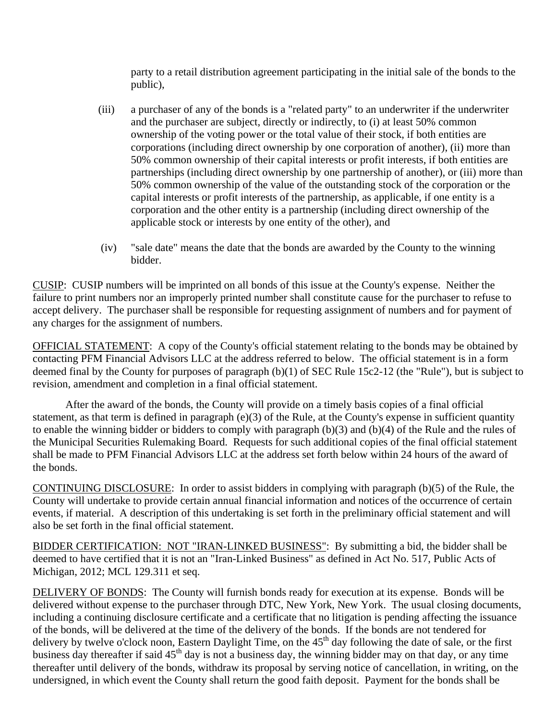party to a retail distribution agreement participating in the initial sale of the bonds to the public),

- (iii) a purchaser of any of the bonds is a "related party" to an underwriter if the underwriter and the purchaser are subject, directly or indirectly, to (i) at least 50% common ownership of the voting power or the total value of their stock, if both entities are corporations (including direct ownership by one corporation of another), (ii) more than 50% common ownership of their capital interests or profit interests, if both entities are partnerships (including direct ownership by one partnership of another), or (iii) more than 50% common ownership of the value of the outstanding stock of the corporation or the capital interests or profit interests of the partnership, as applicable, if one entity is a corporation and the other entity is a partnership (including direct ownership of the applicable stock or interests by one entity of the other), and
- (iv) "sale date" means the date that the bonds are awarded by the County to the winning bidder.

CUSIP: CUSIP numbers will be imprinted on all bonds of this issue at the County's expense. Neither the failure to print numbers nor an improperly printed number shall constitute cause for the purchaser to refuse to accept delivery. The purchaser shall be responsible for requesting assignment of numbers and for payment of any charges for the assignment of numbers.

OFFICIAL STATEMENT: A copy of the County's official statement relating to the bonds may be obtained by contacting PFM Financial Advisors LLC at the address referred to below. The official statement is in a form deemed final by the County for purposes of paragraph (b)(1) of SEC Rule 15c2-12 (the "Rule"), but is subject to revision, amendment and completion in a final official statement.

After the award of the bonds, the County will provide on a timely basis copies of a final official statement, as that term is defined in paragraph (e)(3) of the Rule, at the County's expense in sufficient quantity to enable the winning bidder or bidders to comply with paragraph (b)(3) and (b)(4) of the Rule and the rules of the Municipal Securities Rulemaking Board. Requests for such additional copies of the final official statement shall be made to PFM Financial Advisors LLC at the address set forth below within 24 hours of the award of the bonds.

CONTINUING DISCLOSURE: In order to assist bidders in complying with paragraph (b)(5) of the Rule, the County will undertake to provide certain annual financial information and notices of the occurrence of certain events, if material. A description of this undertaking is set forth in the preliminary official statement and will also be set forth in the final official statement.

BIDDER CERTIFICATION: NOT "IRAN-LINKED BUSINESS": By submitting a bid, the bidder shall be deemed to have certified that it is not an "Iran-Linked Business" as defined in Act No. 517, Public Acts of Michigan, 2012; MCL 129.311 et seq.

DELIVERY OF BONDS: The County will furnish bonds ready for execution at its expense. Bonds will be delivered without expense to the purchaser through DTC, New York, New York. The usual closing documents, including a continuing disclosure certificate and a certificate that no litigation is pending affecting the issuance of the bonds, will be delivered at the time of the delivery of the bonds. If the bonds are not tendered for delivery by twelve o'clock noon, Eastern Daylight Time, on the  $45<sup>th</sup>$  day following the date of sale, or the first business day thereafter if said  $45<sup>th</sup>$  day is not a business day, the winning bidder may on that day, or any time thereafter until delivery of the bonds, withdraw its proposal by serving notice of cancellation, in writing, on the undersigned, in which event the County shall return the good faith deposit. Payment for the bonds shall be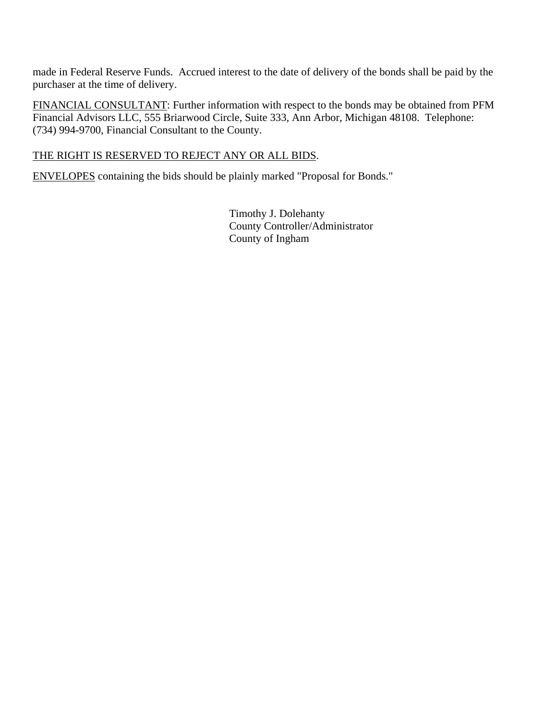made in Federal Reserve Funds. Accrued interest to the date of delivery of the bonds shall be paid by the purchaser at the time of delivery.

FINANCIAL CONSULTANT: Further information with respect to the bonds may be obtained from PFM Financial Advisors LLC, 555 Briarwood Circle, Suite 333, Ann Arbor, Michigan 48108. Telephone: (734) 994-9700, Financial Consultant to the County.

### THE RIGHT IS RESERVED TO REJECT ANY OR ALL BIDS.

ENVELOPES containing the bids should be plainly marked "Proposal for Bonds."

 Timothy J. Dolehanty County Controller/Administrator County of Ingham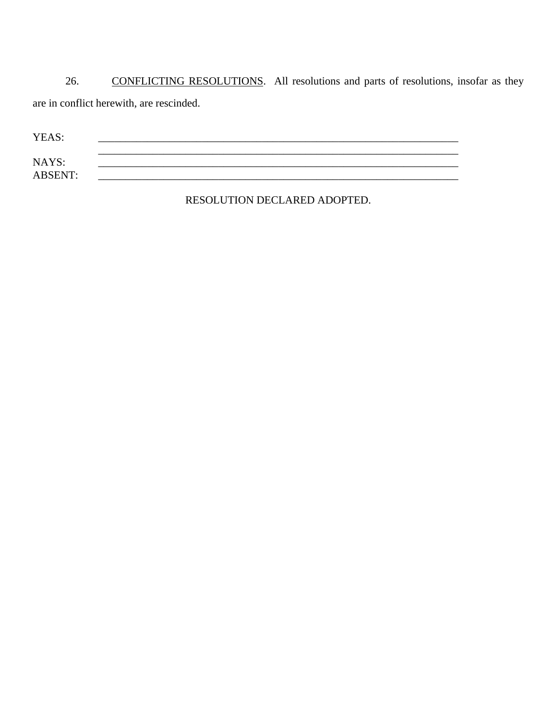26. CONFLICTING RESOLUTIONS. All resolutions and parts of resolutions, insofar as they are in conflict herewith, are rescinded.

| YEAS:          |  |  |
|----------------|--|--|
| NAYS:          |  |  |
| <b>ABSENT:</b> |  |  |

RESOLUTION DECLARED ADOPTED.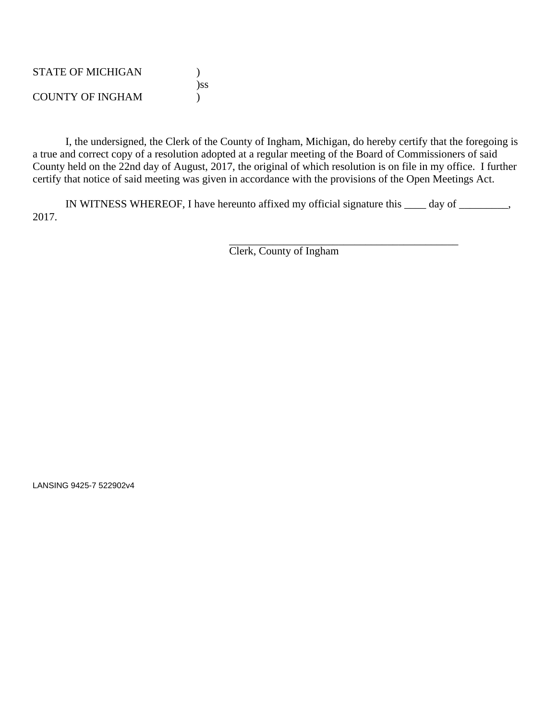| <b>STATE OF MICHIGAN</b> |     |
|--------------------------|-----|
|                          | )SS |
| <b>COUNTY OF INGHAM</b>  |     |

 I, the undersigned, the Clerk of the County of Ingham, Michigan, do hereby certify that the foregoing is a true and correct copy of a resolution adopted at a regular meeting of the Board of Commissioners of said County held on the 22nd day of August, 2017, the original of which resolution is on file in my office. I further certify that notice of said meeting was given in accordance with the provisions of the Open Meetings Act.

 IN WITNESS WHEREOF, I have hereunto affixed my official signature this \_\_\_\_ day of \_\_\_\_\_\_\_\_\_, 2017.

 $\overline{\phantom{a}}$  , and the contract of the contract of the contract of the contract of the contract of the contract of the contract of the contract of the contract of the contract of the contract of the contract of the contrac Clerk, County of Ingham

LANSING 9425-7 522902v4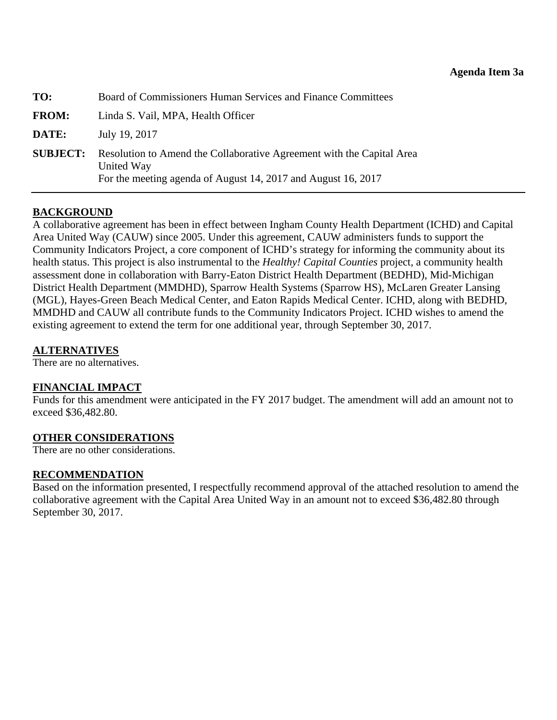<span id="page-34-0"></span>

| TO:             | Board of Commissioners Human Services and Finance Committees                                                                                         |
|-----------------|------------------------------------------------------------------------------------------------------------------------------------------------------|
| <b>FROM:</b>    | Linda S. Vail, MPA, Health Officer                                                                                                                   |
| DATE:           | July 19, 2017                                                                                                                                        |
| <b>SUBJECT:</b> | Resolution to Amend the Collaborative Agreement with the Capital Area<br>United Way<br>For the meeting agenda of August 14, 2017 and August 16, 2017 |

### **BACKGROUND**

A collaborative agreement has been in effect between Ingham County Health Department (ICHD) and Capital Area United Way (CAUW) since 2005. Under this agreement, CAUW administers funds to support the Community Indicators Project, a core component of ICHD's strategy for informing the community about its health status. This project is also instrumental to the *Healthy! Capital Counties* project, a community health assessment done in collaboration with Barry-Eaton District Health Department (BEDHD), Mid-Michigan District Health Department (MMDHD), Sparrow Health Systems (Sparrow HS), McLaren Greater Lansing (MGL), Hayes-Green Beach Medical Center, and Eaton Rapids Medical Center. ICHD, along with BEDHD, MMDHD and CAUW all contribute funds to the Community Indicators Project. ICHD wishes to amend the existing agreement to extend the term for one additional year, through September 30, 2017.

#### **ALTERNATIVES**

There are no alternatives.

### **FINANCIAL IMPACT**

Funds for this amendment were anticipated in the FY 2017 budget. The amendment will add an amount not to exceed \$36,482.80.

### **OTHER CONSIDERATIONS**

There are no other considerations.

#### **RECOMMENDATION**

Based on the information presented, I respectfully recommend approval of the attached resolution to amend the collaborative agreement with the Capital Area United Way in an amount not to exceed \$36,482.80 through September 30, 2017.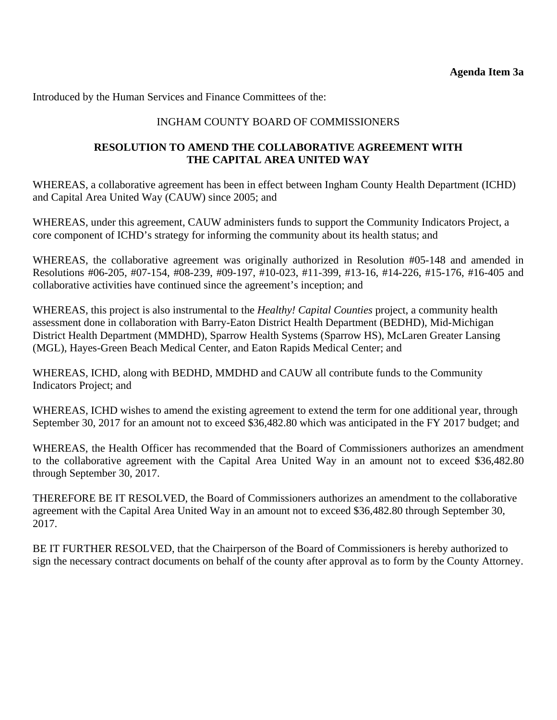Introduced by the Human Services and Finance Committees of the:

### INGHAM COUNTY BOARD OF COMMISSIONERS

### **RESOLUTION TO AMEND THE COLLABORATIVE AGREEMENT WITH THE CAPITAL AREA UNITED WAY**

WHEREAS, a collaborative agreement has been in effect between Ingham County Health Department (ICHD) and Capital Area United Way (CAUW) since 2005; and

WHEREAS, under this agreement, CAUW administers funds to support the Community Indicators Project, a core component of ICHD's strategy for informing the community about its health status; and

WHEREAS, the collaborative agreement was originally authorized in Resolution #05-148 and amended in Resolutions #06-205, #07-154, #08-239, #09-197, #10-023, #11-399, #13-16, #14-226, #15-176, #16-405 and collaborative activities have continued since the agreement's inception; and

WHEREAS, this project is also instrumental to the *Healthy! Capital Counties* project, a community health assessment done in collaboration with Barry-Eaton District Health Department (BEDHD), Mid-Michigan District Health Department (MMDHD), Sparrow Health Systems (Sparrow HS), McLaren Greater Lansing (MGL), Hayes-Green Beach Medical Center, and Eaton Rapids Medical Center; and

WHEREAS, ICHD, along with BEDHD, MMDHD and CAUW all contribute funds to the Community Indicators Project; and

WHEREAS, ICHD wishes to amend the existing agreement to extend the term for one additional year, through September 30, 2017 for an amount not to exceed \$36,482.80 which was anticipated in the FY 2017 budget; and

WHEREAS, the Health Officer has recommended that the Board of Commissioners authorizes an amendment to the collaborative agreement with the Capital Area United Way in an amount not to exceed \$36,482.80 through September 30, 2017.

THEREFORE BE IT RESOLVED, the Board of Commissioners authorizes an amendment to the collaborative agreement with the Capital Area United Way in an amount not to exceed \$36,482.80 through September 30, 2017.

BE IT FURTHER RESOLVED, that the Chairperson of the Board of Commissioners is hereby authorized to sign the necessary contract documents on behalf of the county after approval as to form by the County Attorney.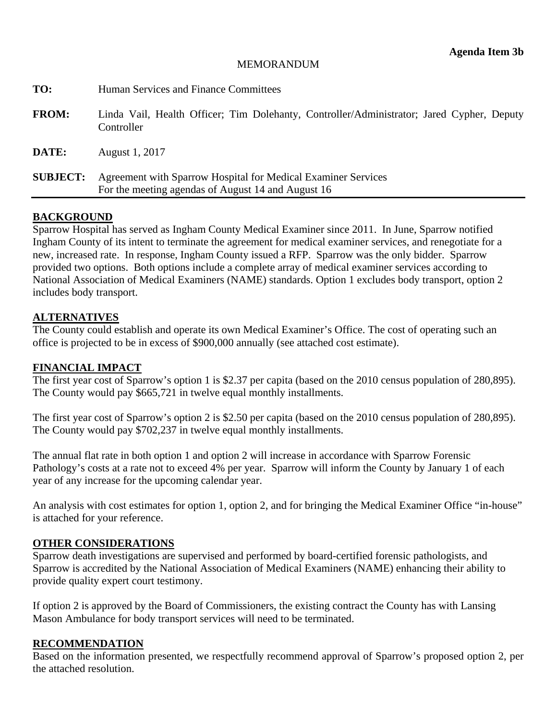#### MEMORANDUM

<span id="page-36-0"></span>

| TO:             | Human Services and Finance Committees                                                                               |
|-----------------|---------------------------------------------------------------------------------------------------------------------|
| <b>FROM:</b>    | Linda Vail, Health Officer; Tim Dolehanty, Controller/Administrator; Jared Cypher, Deputy<br>Controller             |
| DATE:           | August 1, 2017                                                                                                      |
| <b>SUBJECT:</b> | Agreement with Sparrow Hospital for Medical Examiner Services<br>For the meeting agendas of August 14 and August 16 |
|                 |                                                                                                                     |

#### **BACKGROUND**

Sparrow Hospital has served as Ingham County Medical Examiner since 2011. In June, Sparrow notified Ingham County of its intent to terminate the agreement for medical examiner services, and renegotiate for a new, increased rate. In response, Ingham County issued a RFP. Sparrow was the only bidder. Sparrow provided two options. Both options include a complete array of medical examiner services according to National Association of Medical Examiners (NAME) standards. Option 1 excludes body transport, option 2 includes body transport.

#### **ALTERNATIVES**

The County could establish and operate its own Medical Examiner's Office. The cost of operating such an office is projected to be in excess of \$900,000 annually (see attached cost estimate).

#### **FINANCIAL IMPACT**

The first year cost of Sparrow's option 1 is \$2.37 per capita (based on the 2010 census population of 280,895). The County would pay \$665,721 in twelve equal monthly installments.

The first year cost of Sparrow's option 2 is \$2.50 per capita (based on the 2010 census population of 280,895). The County would pay \$702,237 in twelve equal monthly installments.

The annual flat rate in both option 1 and option 2 will increase in accordance with Sparrow Forensic Pathology's costs at a rate not to exceed 4% per year. Sparrow will inform the County by January 1 of each year of any increase for the upcoming calendar year.

An analysis with cost estimates for option 1, option 2, and for bringing the Medical Examiner Office "in-house" is attached for your reference.

#### **OTHER CONSIDERATIONS**

Sparrow death investigations are supervised and performed by board-certified forensic pathologists, and Sparrow is accredited by the National Association of Medical Examiners (NAME) enhancing their ability to provide quality expert court testimony.

If option 2 is approved by the Board of Commissioners, the existing contract the County has with Lansing Mason Ambulance for body transport services will need to be terminated.

#### **RECOMMENDATION**

Based on the information presented, we respectfully recommend approval of Sparrow's proposed option 2, per the attached resolution.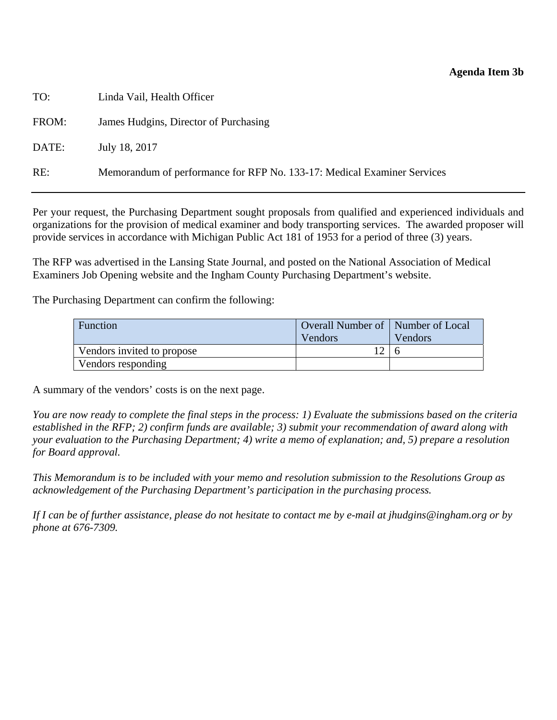#### **Agenda Item 3b**

| TO:   | Linda Vail, Health Officer                                              |
|-------|-------------------------------------------------------------------------|
| FROM: | James Hudgins, Director of Purchasing                                   |
| DATE: | July 18, 2017                                                           |
| RE:   | Memorandum of performance for RFP No. 133-17: Medical Examiner Services |

Per your request, the Purchasing Department sought proposals from qualified and experienced individuals and organizations for the provision of medical examiner and body transporting services. The awarded proposer will provide services in accordance with Michigan Public Act 181 of 1953 for a period of three (3) years.

The RFP was advertised in the Lansing State Journal, and posted on the National Association of Medical Examiners Job Opening website and the Ingham County Purchasing Department's website.

The Purchasing Department can confirm the following:

| Function                   | Overall Number of   Number of Local |                |
|----------------------------|-------------------------------------|----------------|
|                            | Vendors                             | <b>Vendors</b> |
| Vendors invited to propose |                                     |                |
| Vendors responding         |                                     |                |

A summary of the vendors' costs is on the next page.

*You are now ready to complete the final steps in the process: 1) Evaluate the submissions based on the criteria established in the RFP; 2) confirm funds are available; 3) submit your recommendation of award along with your evaluation to the Purchasing Department; 4) write a memo of explanation; and, 5) prepare a resolution for Board approval.* 

*This Memorandum is to be included with your memo and resolution submission to the Resolutions Group as acknowledgement of the Purchasing Department's participation in the purchasing process.* 

*If I can be of further assistance, please do not hesitate to contact me by e-mail at jhudgins@ingham.org or by phone at 676-7309.*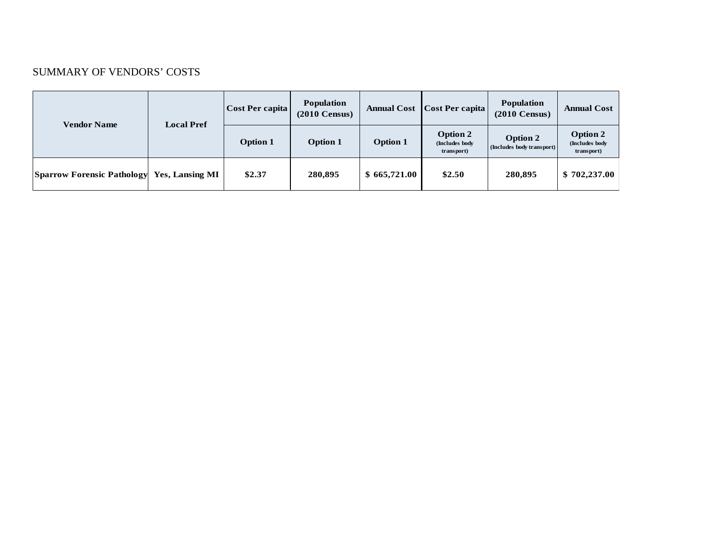#### SUMMARY OF VENDORS' COSTS

| <b>Vendor Name</b>                | <b>Local Pref</b>      | Cost Per capita | <b>Population</b><br>$(2010 \text{ Census})$ | <b>Annual Cost</b> | <b>Cost Per capita</b>                           | <b>Population</b><br>$(2010 \text{ Census})$ | <b>Annual Cost</b>                              |
|-----------------------------------|------------------------|-----------------|----------------------------------------------|--------------------|--------------------------------------------------|----------------------------------------------|-------------------------------------------------|
|                                   |                        | <b>Option 1</b> | <b>Option 1</b>                              | <b>Option 1</b>    | <b>Option 2</b><br>(Includes body)<br>transport) | Option 2<br>(Includes body transport)        | <b>Option 2</b><br>(Includes body<br>transport) |
| <b>Sparrow Forensic Pathology</b> | <b>Yes, Lansing MI</b> | \$2.37          | 280,895                                      | \$665,721.00       | \$2.50                                           | 280.895                                      | \$702,237.00                                    |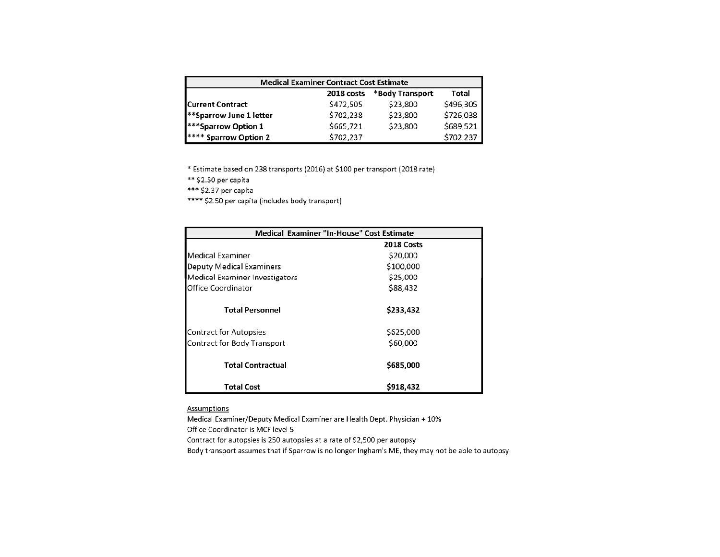| <b>Medical Examiner Contract Cost Estimate</b> |            |                 |           |  |
|------------------------------------------------|------------|-----------------|-----------|--|
|                                                | 2018 costs | *Body Transport | Total     |  |
| <b>Current Contract</b>                        | \$472,505  | \$23,800        | \$496,305 |  |
| <b>Sparrow June 1 letter</b>                   | \$702,238  | \$23,800        | \$726,038 |  |
| <b>***Sparrow Option 1</b>                     | \$665,721  | \$23,800        | \$689,521 |  |
| <b>I**** Sparrow Option 2</b>                  | \$702,237  |                 | \$702,237 |  |

\* Estimate based on 238 transports (2016) at \$100 per transport (2018 rate)

\*\* \$2.50 per capita

\*\*\* \$2.37 per capita

\*\*\*\* \$2.50 per capita (includes body transport)

| Medical Examiner "In-House" Cost Estimate |            |  |
|-------------------------------------------|------------|--|
|                                           | 2018 Costs |  |
| Medical Examiner                          | \$20,000   |  |
| Deputy Medical Examiners                  | \$100,000  |  |
| Medical Examiner Investigators            | \$25,000   |  |
| Office Coordinator                        | \$88,432   |  |
| <b>Total Personnel</b>                    | \$233,432  |  |
| Contract for Autopsies                    | \$625,000  |  |
| Contract for Body Transport               | \$60,000   |  |
| <b>Total Contractual</b>                  | \$685,000  |  |
| <b>Total Cost</b>                         | \$918,432  |  |

**Assumptions** 

Medical Examiner/Deputy Medical Examiner are Health Dept. Physician + 10% Office Coordinator is MCF level 5

Contract for autopsies is 250 autopsies at a rate of \$2,500 per autopsy

Body transport assumes that if Sparrow is no longer Ingham's ME, they may not be able to autopsy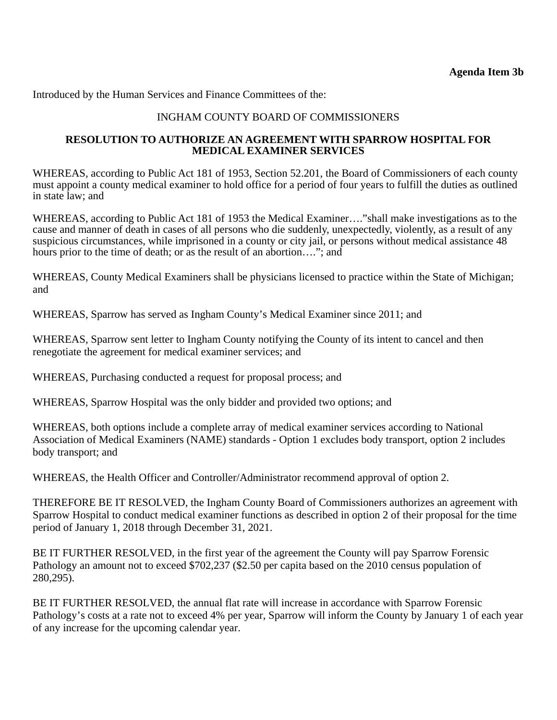Introduced by the Human Services and Finance Committees of the:

#### INGHAM COUNTY BOARD OF COMMISSIONERS

#### **RESOLUTION TO AUTHORIZE AN AGREEMENT WITH SPARROW HOSPITAL FOR MEDICAL EXAMINER SERVICES**

WHEREAS, according to Public Act 181 of 1953, Section 52.201, the Board of Commissioners of each county must appoint a county medical examiner to hold office for a period of four years to fulfill the duties as outlined in state law; and

WHEREAS, according to Public Act 181 of 1953 the Medical Examiner…."shall make investigations as to the cause and manner of death in cases of all persons who die suddenly, unexpectedly, violently, as a result of any suspicious circumstances, while imprisoned in a county or city jail, or persons without medical assistance 48 hours prior to the time of death; or as the result of an abortion...."; and

WHEREAS, County Medical Examiners shall be physicians licensed to practice within the State of Michigan; and

WHEREAS, Sparrow has served as Ingham County's Medical Examiner since 2011; and

WHEREAS, Sparrow sent letter to Ingham County notifying the County of its intent to cancel and then renegotiate the agreement for medical examiner services; and

WHEREAS, Purchasing conducted a request for proposal process; and

WHEREAS, Sparrow Hospital was the only bidder and provided two options; and

WHEREAS, both options include a complete array of medical examiner services according to National Association of Medical Examiners (NAME) standards - Option 1 excludes body transport, option 2 includes body transport; and

WHEREAS, the Health Officer and Controller/Administrator recommend approval of option 2.

THEREFORE BE IT RESOLVED, the Ingham County Board of Commissioners authorizes an agreement with Sparrow Hospital to conduct medical examiner functions as described in option 2 of their proposal for the time period of January 1, 2018 through December 31, 2021.

BE IT FURTHER RESOLVED, in the first year of the agreement the County will pay Sparrow Forensic Pathology an amount not to exceed \$702,237 (\$2.50 per capita based on the 2010 census population of 280,295).

BE IT FURTHER RESOLVED, the annual flat rate will increase in accordance with Sparrow Forensic Pathology's costs at a rate not to exceed 4% per year, Sparrow will inform the County by January 1 of each year of any increase for the upcoming calendar year.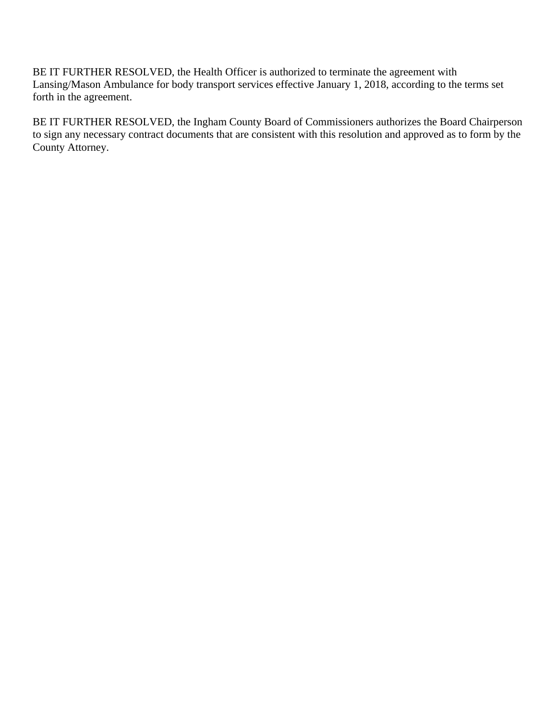BE IT FURTHER RESOLVED, the Health Officer is authorized to terminate the agreement with Lansing/Mason Ambulance for body transport services effective January 1, 2018, according to the terms set forth in the agreement.

BE IT FURTHER RESOLVED, the Ingham County Board of Commissioners authorizes the Board Chairperson to sign any necessary contract documents that are consistent with this resolution and approved as to form by the County Attorney.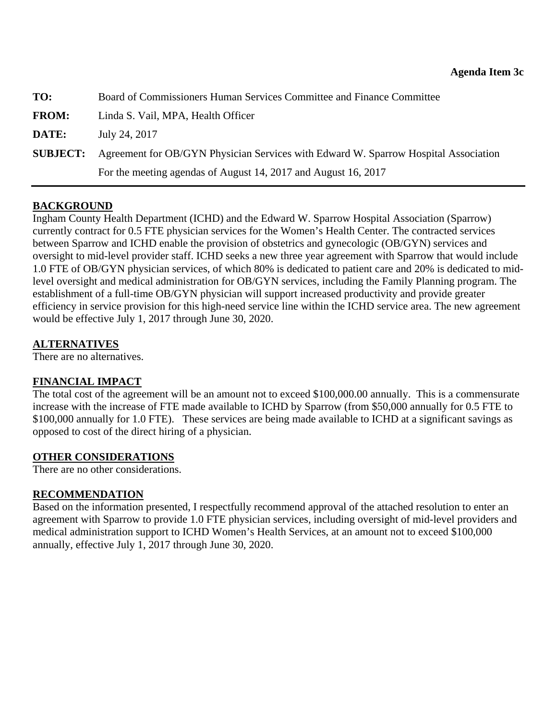<span id="page-42-0"></span>

| TO:             | Board of Commissioners Human Services Committee and Finance Committee               |
|-----------------|-------------------------------------------------------------------------------------|
| <b>FROM:</b>    | Linda S. Vail, MPA, Health Officer                                                  |
| DATE:           | July 24, 2017                                                                       |
| <b>SUBJECT:</b> | Agreement for OB/GYN Physician Services with Edward W. Sparrow Hospital Association |
|                 | For the meeting agendas of August 14, 2017 and August 16, 2017                      |

### **BACKGROUND**

Ingham County Health Department (ICHD) and the Edward W. Sparrow Hospital Association (Sparrow) currently contract for 0.5 FTE physician services for the Women's Health Center. The contracted services between Sparrow and ICHD enable the provision of obstetrics and gynecologic (OB/GYN) services and oversight to mid-level provider staff. ICHD seeks a new three year agreement with Sparrow that would include 1.0 FTE of OB/GYN physician services, of which 80% is dedicated to patient care and 20% is dedicated to midlevel oversight and medical administration for OB/GYN services, including the Family Planning program. The establishment of a full-time OB/GYN physician will support increased productivity and provide greater efficiency in service provision for this high-need service line within the ICHD service area. The new agreement would be effective July 1, 2017 through June 30, 2020.

### **ALTERNATIVES**

There are no alternatives.

### **FINANCIAL IMPACT**

The total cost of the agreement will be an amount not to exceed \$100,000.00 annually. This is a commensurate increase with the increase of FTE made available to ICHD by Sparrow (from \$50,000 annually for 0.5 FTE to \$100,000 annually for 1.0 FTE). These services are being made available to ICHD at a significant savings as opposed to cost of the direct hiring of a physician.

### **OTHER CONSIDERATIONS**

There are no other considerations.

### **RECOMMENDATION**

Based on the information presented, I respectfully recommend approval of the attached resolution to enter an agreement with Sparrow to provide 1.0 FTE physician services, including oversight of mid-level providers and medical administration support to ICHD Women's Health Services, at an amount not to exceed \$100,000 annually, effective July 1, 2017 through June 30, 2020.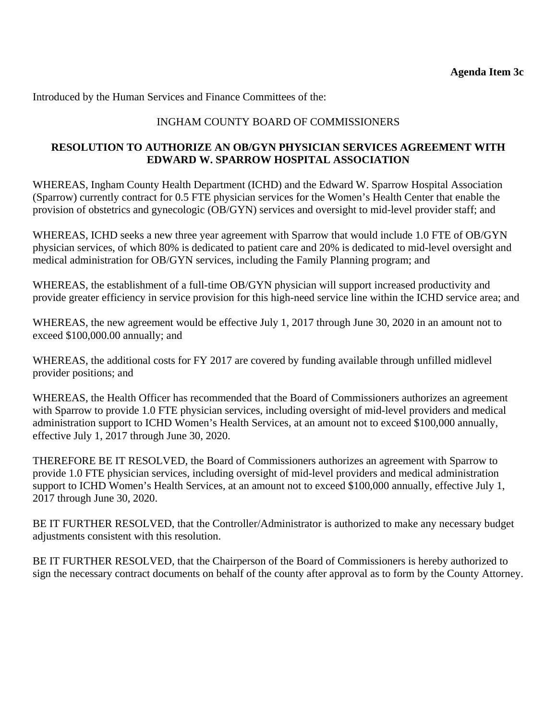Introduced by the Human Services and Finance Committees of the:

### INGHAM COUNTY BOARD OF COMMISSIONERS

### **RESOLUTION TO AUTHORIZE AN OB/GYN PHYSICIAN SERVICES AGREEMENT WITH EDWARD W. SPARROW HOSPITAL ASSOCIATION**

WHEREAS, Ingham County Health Department (ICHD) and the Edward W. Sparrow Hospital Association (Sparrow) currently contract for 0.5 FTE physician services for the Women's Health Center that enable the provision of obstetrics and gynecologic (OB/GYN) services and oversight to mid-level provider staff; and

WHEREAS, ICHD seeks a new three year agreement with Sparrow that would include 1.0 FTE of OB/GYN physician services, of which 80% is dedicated to patient care and 20% is dedicated to mid-level oversight and medical administration for OB/GYN services, including the Family Planning program; and

WHEREAS, the establishment of a full-time OB/GYN physician will support increased productivity and provide greater efficiency in service provision for this high-need service line within the ICHD service area; and

WHEREAS, the new agreement would be effective July 1, 2017 through June 30, 2020 in an amount not to exceed \$100,000.00 annually; and

WHEREAS, the additional costs for FY 2017 are covered by funding available through unfilled midlevel provider positions; and

WHEREAS, the Health Officer has recommended that the Board of Commissioners authorizes an agreement with Sparrow to provide 1.0 FTE physician services, including oversight of mid-level providers and medical administration support to ICHD Women's Health Services, at an amount not to exceed \$100,000 annually, effective July 1, 2017 through June 30, 2020.

THEREFORE BE IT RESOLVED, the Board of Commissioners authorizes an agreement with Sparrow to provide 1.0 FTE physician services, including oversight of mid-level providers and medical administration support to ICHD Women's Health Services, at an amount not to exceed \$100,000 annually, effective July 1, 2017 through June 30, 2020.

BE IT FURTHER RESOLVED, that the Controller/Administrator is authorized to make any necessary budget adjustments consistent with this resolution.

BE IT FURTHER RESOLVED, that the Chairperson of the Board of Commissioners is hereby authorized to sign the necessary contract documents on behalf of the county after approval as to form by the County Attorney.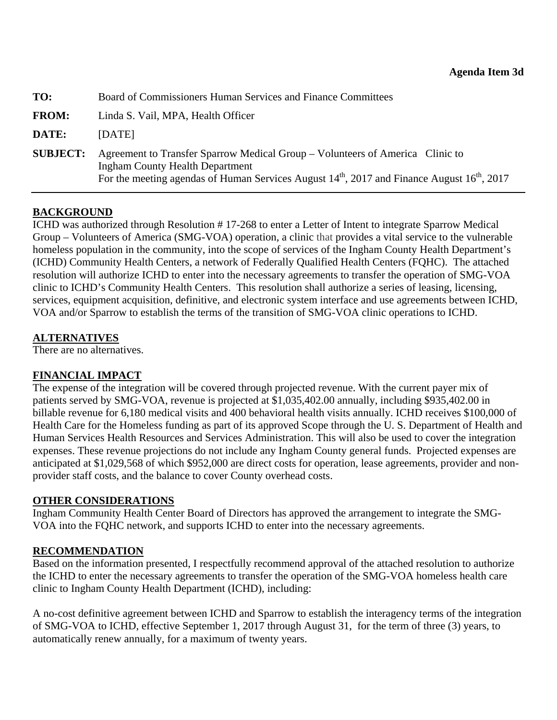<span id="page-44-0"></span>

| TO:             | Board of Commissioners Human Services and Finance Committees                                                                                                                                                               |
|-----------------|----------------------------------------------------------------------------------------------------------------------------------------------------------------------------------------------------------------------------|
| <b>FROM:</b>    | Linda S. Vail, MPA, Health Officer                                                                                                                                                                                         |
| DATE:           | <b>IDATE</b>                                                                                                                                                                                                               |
| <b>SUBJECT:</b> | Agreement to Transfer Sparrow Medical Group – Volunteers of America Clinic to<br><b>Ingham County Health Department</b><br>For the meeting agendas of Human Services August $14th$ , 2017 and Finance August $16th$ , 2017 |

### **BACKGROUND**

ICHD was authorized through Resolution # 17-268 to enter a Letter of Intent to integrate Sparrow Medical Group – Volunteers of America (SMG-VOA) operation, a clinic that provides a vital service to the vulnerable homeless population in the community, into the scope of services of the Ingham County Health Department's (ICHD) Community Health Centers, a network of Federally Qualified Health Centers (FQHC). The attached resolution will authorize ICHD to enter into the necessary agreements to transfer the operation of SMG-VOA clinic to ICHD's Community Health Centers. This resolution shall authorize a series of leasing, licensing, services, equipment acquisition, definitive, and electronic system interface and use agreements between ICHD, VOA and/or Sparrow to establish the terms of the transition of SMG-VOA clinic operations to ICHD.

### **ALTERNATIVES**

There are no alternatives.

### **FINANCIAL IMPACT**

The expense of the integration will be covered through projected revenue. With the current payer mix of patients served by SMG-VOA, revenue is projected at \$1,035,402.00 annually, including \$935,402.00 in billable revenue for 6,180 medical visits and 400 behavioral health visits annually. ICHD receives \$100,000 of Health Care for the Homeless funding as part of its approved Scope through the U. S. Department of Health and Human Services Health Resources and Services Administration. This will also be used to cover the integration expenses. These revenue projections do not include any Ingham County general funds. Projected expenses are anticipated at \$1,029,568 of which \$952,000 are direct costs for operation, lease agreements, provider and nonprovider staff costs, and the balance to cover County overhead costs.

### **OTHER CONSIDERATIONS**

Ingham Community Health Center Board of Directors has approved the arrangement to integrate the SMG-VOA into the FQHC network, and supports ICHD to enter into the necessary agreements.

### **RECOMMENDATION**

Based on the information presented, I respectfully recommend approval of the attached resolution to authorize the ICHD to enter the necessary agreements to transfer the operation of the SMG-VOA homeless health care clinic to Ingham County Health Department (ICHD), including:

A no-cost definitive agreement between ICHD and Sparrow to establish the interagency terms of the integration of SMG-VOA to ICHD, effective September 1, 2017 through August 31, for the term of three (3) years, to automatically renew annually, for a maximum of twenty years.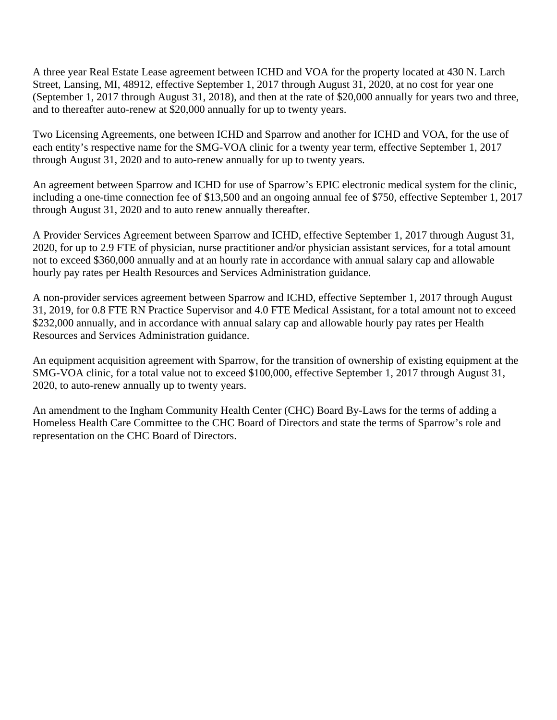A three year Real Estate Lease agreement between ICHD and VOA for the property located at 430 N. Larch Street, Lansing, MI, 48912, effective September 1, 2017 through August 31, 2020, at no cost for year one (September 1, 2017 through August 31, 2018), and then at the rate of \$20,000 annually for years two and three, and to thereafter auto-renew at \$20,000 annually for up to twenty years.

Two Licensing Agreements, one between ICHD and Sparrow and another for ICHD and VOA, for the use of each entity's respective name for the SMG-VOA clinic for a twenty year term, effective September 1, 2017 through August 31, 2020 and to auto-renew annually for up to twenty years.

An agreement between Sparrow and ICHD for use of Sparrow's EPIC electronic medical system for the clinic, including a one-time connection fee of \$13,500 and an ongoing annual fee of \$750, effective September 1, 2017 through August 31, 2020 and to auto renew annually thereafter.

A Provider Services Agreement between Sparrow and ICHD, effective September 1, 2017 through August 31, 2020, for up to 2.9 FTE of physician, nurse practitioner and/or physician assistant services, for a total amount not to exceed \$360,000 annually and at an hourly rate in accordance with annual salary cap and allowable hourly pay rates per Health Resources and Services Administration guidance.

A non-provider services agreement between Sparrow and ICHD, effective September 1, 2017 through August 31, 2019, for 0.8 FTE RN Practice Supervisor and 4.0 FTE Medical Assistant, for a total amount not to exceed \$232,000 annually, and in accordance with annual salary cap and allowable hourly pay rates per Health Resources and Services Administration guidance.

An equipment acquisition agreement with Sparrow, for the transition of ownership of existing equipment at the SMG-VOA clinic, for a total value not to exceed \$100,000, effective September 1, 2017 through August 31, 2020, to auto-renew annually up to twenty years.

An amendment to the Ingham Community Health Center (CHC) Board By-Laws for the terms of adding a Homeless Health Care Committee to the CHC Board of Directors and state the terms of Sparrow's role and representation on the CHC Board of Directors.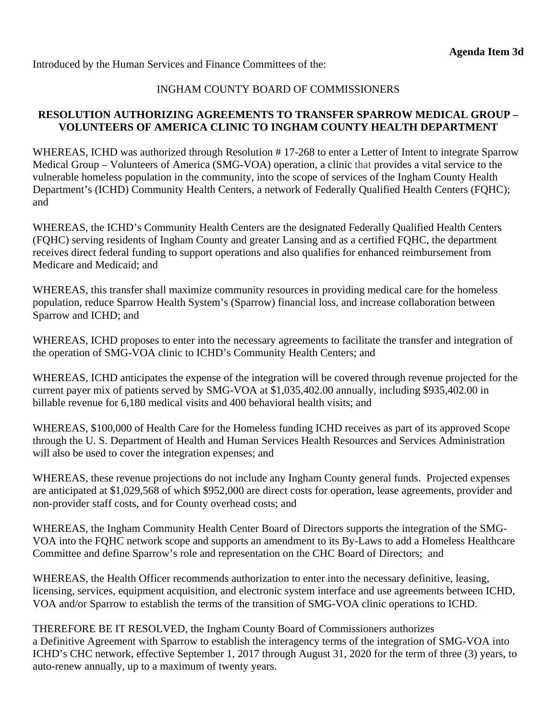Introduced by the Human Services and Finance Committees of the:

### INGHAM COUNTY BOARD OF COMMISSIONERS

### **RESOLUTION AUTHORIZING AGREEMENTS TO TRANSFER SPARROW MEDICAL GROUP – VOLUNTEERS OF AMERICA CLINIC TO INGHAM COUNTY HEALTH DEPARTMENT**

WHEREAS, ICHD was authorized through Resolution #17-268 to enter a Letter of Intent to integrate Sparrow Medical Group – Volunteers of America (SMG-VOA) operation, a clinic that provides a vital service to the vulnerable homeless population in the community, into the scope of services of the Ingham County Health Department's (ICHD) Community Health Centers, a network of Federally Qualified Health Centers (FQHC); and

WHEREAS, the ICHD's Community Health Centers are the designated Federally Qualified Health Centers (FQHC) serving residents of Ingham County and greater Lansing and as a certified FQHC, the department receives direct federal funding to support operations and also qualifies for enhanced reimbursement from Medicare and Medicaid; and

WHEREAS, this transfer shall maximize community resources in providing medical care for the homeless population, reduce Sparrow Health System's (Sparrow) financial loss, and increase collaboration between Sparrow and ICHD; and

WHEREAS, ICHD proposes to enter into the necessary agreements to facilitate the transfer and integration of the operation of SMG-VOA clinic to ICHD's Community Health Centers; and

WHEREAS, ICHD anticipates the expense of the integration will be covered through revenue projected for the current payer mix of patients served by SMG-VOA at \$1,035,402.00 annually, including \$935,402.00 in billable revenue for 6,180 medical visits and 400 behavioral health visits; and

WHEREAS, \$100,000 of Health Care for the Homeless funding ICHD receives as part of its approved Scope through the U. S. Department of Health and Human Services Health Resources and Services Administration will also be used to cover the integration expenses; and

WHEREAS, these revenue projections do not include any Ingham County general funds. Projected expenses are anticipated at \$1,029,568 of which \$952,000 are direct costs for operation, lease agreements, provider and non-provider staff costs, and for County overhead costs; and

WHEREAS, the Ingham Community Health Center Board of Directors supports the integration of the SMG-VOA into the FQHC network scope and supports an amendment to its By-Laws to add a Homeless Healthcare Committee and define Sparrow's role and representation on the CHC Board of Directors; and

WHEREAS, the Health Officer recommends authorization to enter into the necessary definitive, leasing, licensing, services, equipment acquisition, and electronic system interface and use agreements between ICHD, VOA and/or Sparrow to establish the terms of the transition of SMG-VOA clinic operations to ICHD.

THEREFORE BE IT RESOLVED, the Ingham County Board of Commissioners authorizes a Definitive Agreement with Sparrow to establish the interagency terms of the integration of SMG-VOA into ICHD's CHC network, effective September 1, 2017 through August 31, 2020 for the term of three (3) years, to auto-renew annually, up to a maximum of twenty years.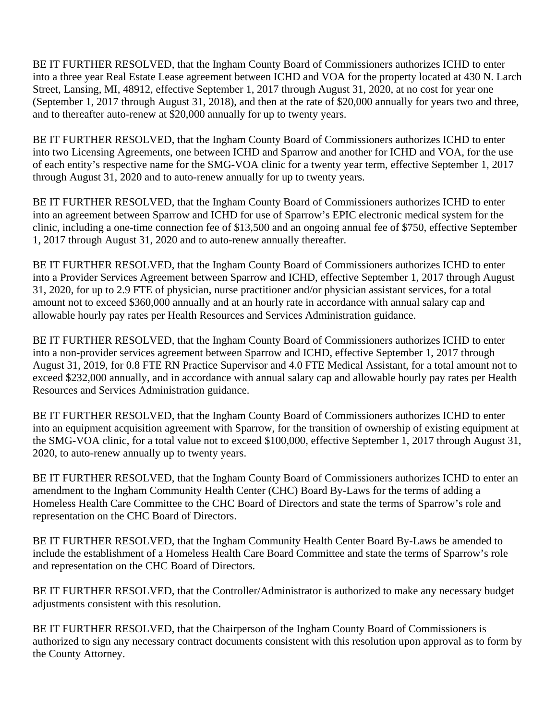BE IT FURTHER RESOLVED, that the Ingham County Board of Commissioners authorizes ICHD to enter into a three year Real Estate Lease agreement between ICHD and VOA for the property located at 430 N. Larch Street, Lansing, MI, 48912, effective September 1, 2017 through August 31, 2020, at no cost for year one (September 1, 2017 through August 31, 2018), and then at the rate of \$20,000 annually for years two and three, and to thereafter auto-renew at \$20,000 annually for up to twenty years.

BE IT FURTHER RESOLVED, that the Ingham County Board of Commissioners authorizes ICHD to enter into two Licensing Agreements, one between ICHD and Sparrow and another for ICHD and VOA, for the use of each entity's respective name for the SMG-VOA clinic for a twenty year term, effective September 1, 2017 through August 31, 2020 and to auto-renew annually for up to twenty years.

BE IT FURTHER RESOLVED, that the Ingham County Board of Commissioners authorizes ICHD to enter into an agreement between Sparrow and ICHD for use of Sparrow's EPIC electronic medical system for the clinic, including a one-time connection fee of \$13,500 and an ongoing annual fee of \$750, effective September 1, 2017 through August 31, 2020 and to auto-renew annually thereafter.

BE IT FURTHER RESOLVED, that the Ingham County Board of Commissioners authorizes ICHD to enter into a Provider Services Agreement between Sparrow and ICHD, effective September 1, 2017 through August 31, 2020, for up to 2.9 FTE of physician, nurse practitioner and/or physician assistant services, for a total amount not to exceed \$360,000 annually and at an hourly rate in accordance with annual salary cap and allowable hourly pay rates per Health Resources and Services Administration guidance.

BE IT FURTHER RESOLVED, that the Ingham County Board of Commissioners authorizes ICHD to enter into a non-provider services agreement between Sparrow and ICHD, effective September 1, 2017 through August 31, 2019, for 0.8 FTE RN Practice Supervisor and 4.0 FTE Medical Assistant, for a total amount not to exceed \$232,000 annually, and in accordance with annual salary cap and allowable hourly pay rates per Health Resources and Services Administration guidance.

BE IT FURTHER RESOLVED, that the Ingham County Board of Commissioners authorizes ICHD to enter into an equipment acquisition agreement with Sparrow, for the transition of ownership of existing equipment at the SMG-VOA clinic, for a total value not to exceed \$100,000, effective September 1, 2017 through August 31, 2020, to auto-renew annually up to twenty years.

BE IT FURTHER RESOLVED, that the Ingham County Board of Commissioners authorizes ICHD to enter an amendment to the Ingham Community Health Center (CHC) Board By-Laws for the terms of adding a Homeless Health Care Committee to the CHC Board of Directors and state the terms of Sparrow's role and representation on the CHC Board of Directors.

BE IT FURTHER RESOLVED, that the Ingham Community Health Center Board By-Laws be amended to include the establishment of a Homeless Health Care Board Committee and state the terms of Sparrow's role and representation on the CHC Board of Directors.

BE IT FURTHER RESOLVED, that the Controller/Administrator is authorized to make any necessary budget adjustments consistent with this resolution.

BE IT FURTHER RESOLVED, that the Chairperson of the Ingham County Board of Commissioners is authorized to sign any necessary contract documents consistent with this resolution upon approval as to form by the County Attorney.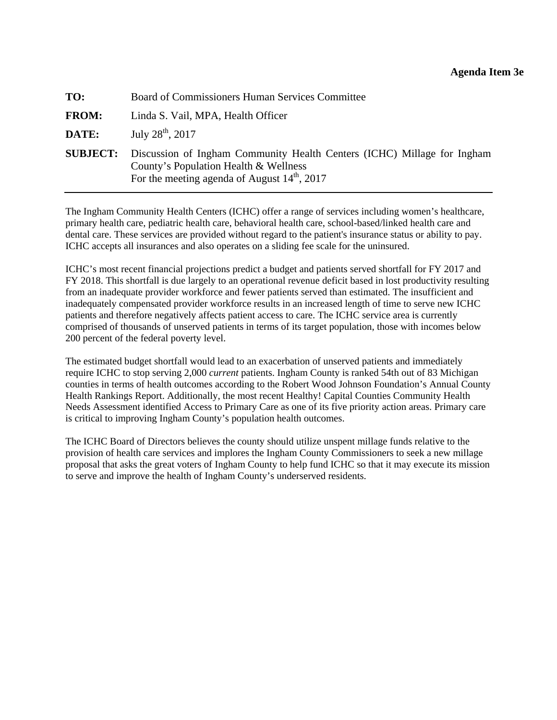<span id="page-48-0"></span>

| TO:             | Board of Commissioners Human Services Committee                                                                                                                    |  |
|-----------------|--------------------------------------------------------------------------------------------------------------------------------------------------------------------|--|
| <b>FROM:</b>    | Linda S. Vail, MPA, Health Officer                                                                                                                                 |  |
| DATE:           | July $28^{th}$ , $2017$                                                                                                                                            |  |
| <b>SUBJECT:</b> | Discussion of Ingham Community Health Centers (ICHC) Millage for Ingham<br>County's Population Health & Wellness<br>For the meeting agenda of August $14th$ , 2017 |  |

The Ingham Community Health Centers (ICHC) offer a range of services including women's healthcare, primary health care, pediatric health care, behavioral health care, school-based/linked health care and dental care. These services are provided without regard to the patient's insurance status or ability to pay. ICHC accepts all insurances and also operates on a sliding fee scale for the uninsured.

ICHC's most recent financial projections predict a budget and patients served shortfall for FY 2017 and FY 2018. This shortfall is due largely to an operational revenue deficit based in lost productivity resulting from an inadequate provider workforce and fewer patients served than estimated. The insufficient and inadequately compensated provider workforce results in an increased length of time to serve new ICHC patients and therefore negatively affects patient access to care. The ICHC service area is currently comprised of thousands of unserved patients in terms of its target population, those with incomes below 200 percent of the federal poverty level.

The estimated budget shortfall would lead to an exacerbation of unserved patients and immediately require ICHC to stop serving 2,000 *current* patients. Ingham County is ranked 54th out of 83 Michigan counties in terms of health outcomes according to the Robert Wood Johnson Foundation's Annual County Health Rankings Report. Additionally, the most recent Healthy! Capital Counties Community Health Needs Assessment identified Access to Primary Care as one of its five priority action areas. Primary care is critical to improving Ingham County's population health outcomes.

The ICHC Board of Directors believes the county should utilize unspent millage funds relative to the provision of health care services and implores the Ingham County Commissioners to seek a new millage proposal that asks the great voters of Ingham County to help fund ICHC so that it may execute its mission to serve and improve the health of Ingham County's underserved residents.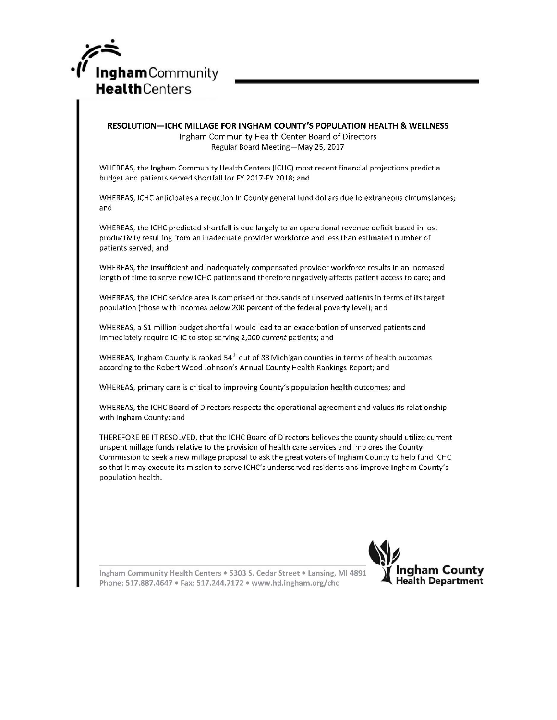

#### RESOLUTION-ICHC MILLAGE FOR INGHAM COUNTY'S POPULATION HEALTH & WELLNESS Ingham Community Health Center Board of Directors Regular Board Meeting-May 25, 2017

WHEREAS, the Ingham Community Health Centers (ICHC) most recent financial projections predict a budget and patients served shortfall for FY 2017-FY 2018; and

WHEREAS, ICHC anticipates a reduction in County general fund dollars due to extraneous circumstances; and

WHEREAS, the ICHC predicted shortfall is due largely to an operational revenue deficit based in lost productivity resulting from an inadequate provider workforce and less than estimated number of patients served; and

WHEREAS, the insufficient and inadequately compensated provider workforce results in an increased length of time to serve new ICHC patients and therefore negatively affects patient access to care; and

WHEREAS, the ICHC service area is comprised of thousands of unserved patients in terms of its target population (those with incomes below 200 percent of the federal poverty level); and

WHEREAS, a \$1 million budget shortfall would lead to an exacerbation of unserved patients and immediately require ICHC to stop serving 2,000 current patients; and

WHEREAS, Ingham County is ranked 54<sup>th</sup> out of 83 Michigan counties in terms of health outcomes according to the Robert Wood Johnson's Annual County Health Rankings Report; and

WHEREAS, primary care is critical to improving County's population health outcomes; and

WHEREAS, the ICHC Board of Directors respects the operational agreement and values its relationship with Ingham County; and

THEREFORE BE IT RESOLVED, that the ICHC Board of Directors believes the county should utilize current unspent millage funds relative to the provision of health care services and implores the County Commission to seek a new millage proposal to ask the great voters of Ingham County to help fund ICHC so that it may execute its mission to serve ICHC's underserved residents and improve Ingham County's population health.



Ingham Community Health Centers . 5303 S. Cedar Street . Lansing, MI 4891 Phone: 517.887.4647 • Fax: 517.244.7172 • www.hd.ingham.org/chc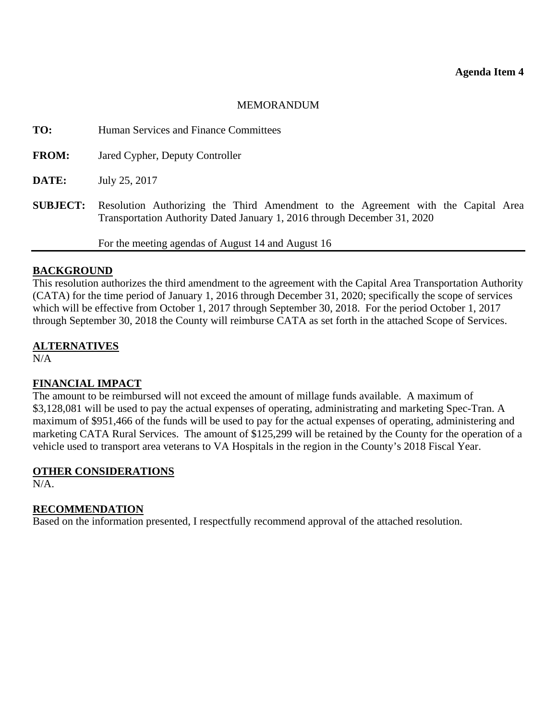#### MEMORANDUM

<span id="page-50-0"></span>**TO:** Human Services and Finance Committees

**FROM:** Jared Cypher, Deputy Controller

**DATE:** July 25, 2017

**SUBJECT:** Resolution Authorizing the Third Amendment to the Agreement with the Capital Area Transportation Authority Dated January 1, 2016 through December 31, 2020

For the meeting agendas of August 14 and August 16

#### **BACKGROUND**

This resolution authorizes the third amendment to the agreement with the Capital Area Transportation Authority (CATA) for the time period of January 1, 2016 through December 31, 2020; specifically the scope of services which will be effective from October 1, 2017 through September 30, 2018. For the period October 1, 2017 through September 30, 2018 the County will reimburse CATA as set forth in the attached Scope of Services.

#### **ALTERNATIVES**

N/A

#### **FINANCIAL IMPACT**

The amount to be reimbursed will not exceed the amount of millage funds available. A maximum of \$3,128,081 will be used to pay the actual expenses of operating, administrating and marketing Spec-Tran. A maximum of \$951,466 of the funds will be used to pay for the actual expenses of operating, administering and marketing CATA Rural Services. The amount of \$125,299 will be retained by the County for the operation of a vehicle used to transport area veterans to VA Hospitals in the region in the County's 2018 Fiscal Year.

# **OTHER CONSIDERATIONS**

N/A.

#### **RECOMMENDATION**

Based on the information presented, I respectfully recommend approval of the attached resolution.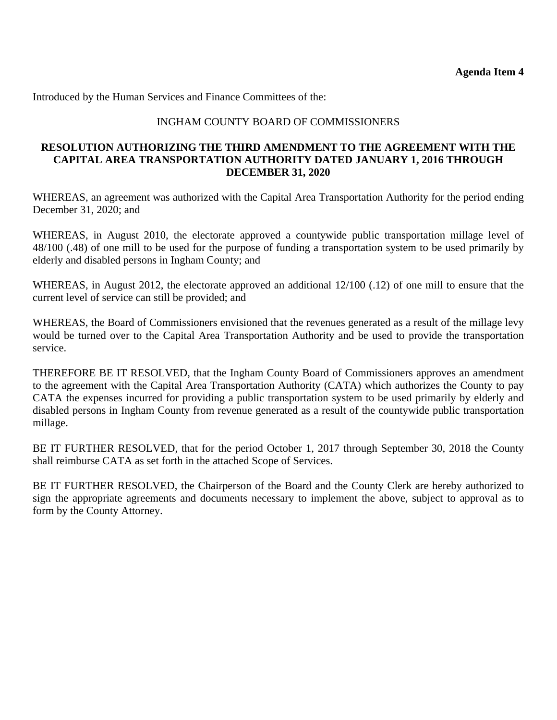Introduced by the Human Services and Finance Committees of the:

### INGHAM COUNTY BOARD OF COMMISSIONERS

#### **RESOLUTION AUTHORIZING THE THIRD AMENDMENT TO THE AGREEMENT WITH THE CAPITAL AREA TRANSPORTATION AUTHORITY DATED JANUARY 1, 2016 THROUGH DECEMBER 31, 2020**

WHEREAS, an agreement was authorized with the Capital Area Transportation Authority for the period ending December 31, 2020; and

WHEREAS, in August 2010, the electorate approved a countywide public transportation millage level of 48/100 (.48) of one mill to be used for the purpose of funding a transportation system to be used primarily by elderly and disabled persons in Ingham County; and

WHEREAS, in August 2012, the electorate approved an additional 12/100 (.12) of one mill to ensure that the current level of service can still be provided; and

WHEREAS, the Board of Commissioners envisioned that the revenues generated as a result of the millage levy would be turned over to the Capital Area Transportation Authority and be used to provide the transportation service.

THEREFORE BE IT RESOLVED, that the Ingham County Board of Commissioners approves an amendment to the agreement with the Capital Area Transportation Authority (CATA) which authorizes the County to pay CATA the expenses incurred for providing a public transportation system to be used primarily by elderly and disabled persons in Ingham County from revenue generated as a result of the countywide public transportation millage.

BE IT FURTHER RESOLVED, that for the period October 1, 2017 through September 30, 2018 the County shall reimburse CATA as set forth in the attached Scope of Services.

BE IT FURTHER RESOLVED, the Chairperson of the Board and the County Clerk are hereby authorized to sign the appropriate agreements and documents necessary to implement the above, subject to approval as to form by the County Attorney.